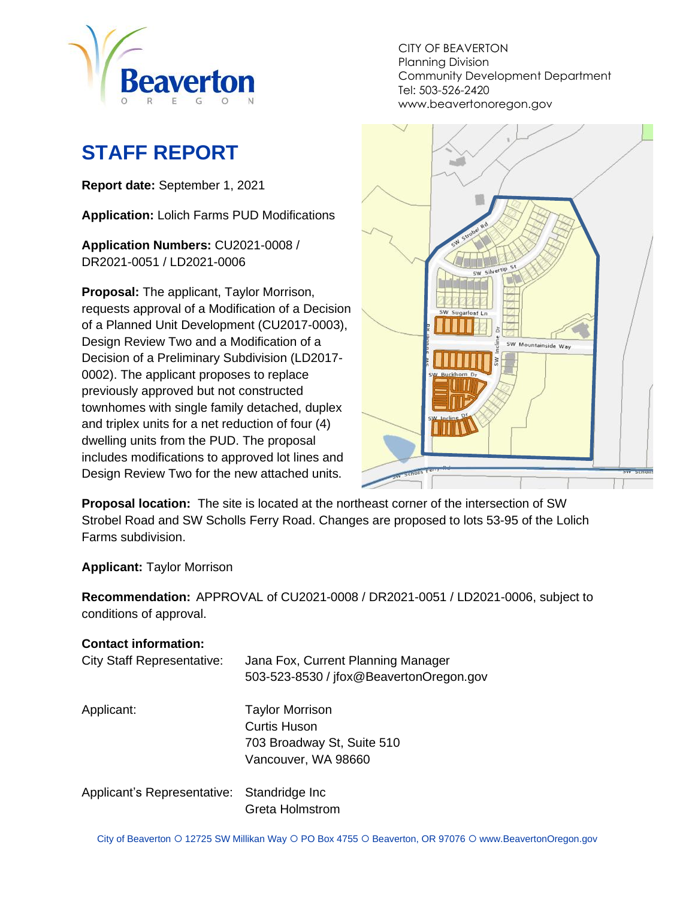

# <span id="page-0-0"></span>**STAFF REPORT**

**Report date:** September 1, 2021

**Application:** Lolich Farms PUD Modifications

**Application Numbers:** CU2021-0008 / DR2021-0051 / LD2021-0006

**Proposal:** The applicant, Taylor Morrison, requests approval of a Modification of a Decision of a Planned Unit Development (CU2017-0003), Design Review Two and a Modification of a Decision of a Preliminary Subdivision (LD2017- 0002). The applicant proposes to replace previously approved but not constructed townhomes with single family detached, duplex and triplex units for a net reduction of four (4) dwelling units from the PUD. The proposal includes modifications to approved lot lines and Design Review Two for the new attached units.

CITY OF BEAVERTON Planning Division Community Development Department Tel: 503-526-2420 www.beavertonoregon.gov



**Proposal location:** The site is located at the northeast corner of the intersection of SW Strobel Road and SW Scholls Ferry Road. Changes are proposed to lots 53-95 of the Lolich Farms subdivision.

**Applicant:** Taylor Morrison

**Recommendation:** APPROVAL of CU2021-0008 / DR2021-0051 / LD2021-0006, subject to conditions of approval.

#### **Contact information:**

| <b>City Staff Representative:</b>          | Jana Fox, Current Planning Manager<br>503-523-8530 / jfox@BeavertonOregon.gov |
|--------------------------------------------|-------------------------------------------------------------------------------|
| Applicant:                                 | <b>Taylor Morrison</b>                                                        |
|                                            | <b>Curtis Huson</b>                                                           |
|                                            | 703 Broadway St, Suite 510                                                    |
|                                            | Vancouver, WA 98660                                                           |
| Applicant's Representative: Standridge Inc |                                                                               |
|                                            | <b>Greta Holmstrom</b>                                                        |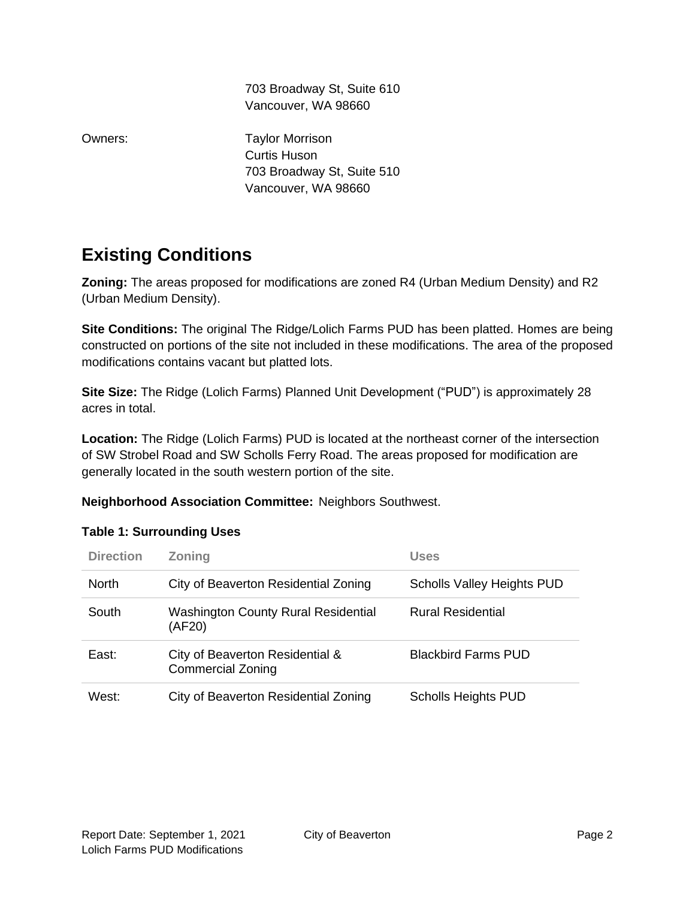703 Broadway St, Suite 610 Vancouver, WA 98660

Owners: Taylor Morrison Curtis Huson 703 Broadway St, Suite 510 Vancouver, WA 98660

## **Existing Conditions**

**Zoning:** The areas proposed for modifications are zoned R4 (Urban Medium Density) and R2 (Urban Medium Density).

**Site Conditions:** The original The Ridge/Lolich Farms PUD has been platted. Homes are being constructed on portions of the site not included in these modifications. The area of the proposed modifications contains vacant but platted lots.

**Site Size:** The Ridge (Lolich Farms) Planned Unit Development ("PUD") is approximately 28 acres in total.

**Location:** The Ridge (Lolich Farms) PUD is located at the northeast corner of the intersection of SW Strobel Road and SW Scholls Ferry Road. The areas proposed for modification are generally located in the south western portion of the site.

#### **Neighborhood Association Committee:** Neighbors Southwest.

| <b>Direction</b> | <b>Zoning</b>                                               | <b>Uses</b>                       |
|------------------|-------------------------------------------------------------|-----------------------------------|
| <b>North</b>     | City of Beaverton Residential Zoning                        | <b>Scholls Valley Heights PUD</b> |
| South            | <b>Washington County Rural Residential</b><br>(AF20)        | <b>Rural Residential</b>          |
| East:            | City of Beaverton Residential &<br><b>Commercial Zoning</b> | <b>Blackbird Farms PUD</b>        |
| West:            | City of Beaverton Residential Zoning                        | <b>Scholls Heights PUD</b>        |

#### **Table 1: Surrounding Uses**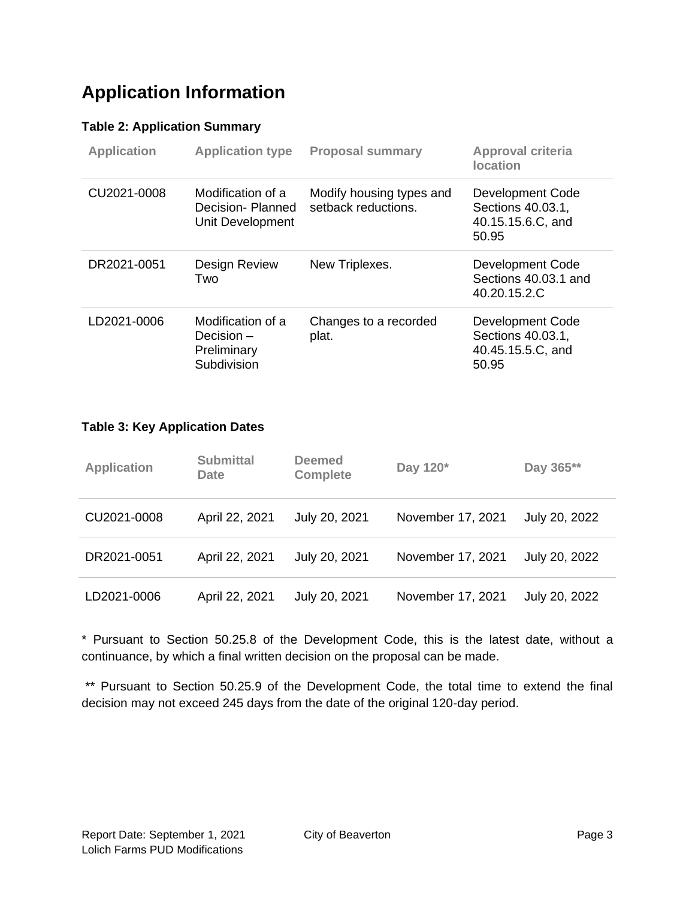## **Application Information**

#### **Table 2: Application Summary**

| <b>Application</b> | <b>Application type</b>                                         | <b>Proposal summary</b>                         | <b>Approval criteria</b><br><b>location</b>                         |
|--------------------|-----------------------------------------------------------------|-------------------------------------------------|---------------------------------------------------------------------|
| CU2021-0008        | Modification of a<br>Decision-Planned<br>Unit Development       | Modify housing types and<br>setback reductions. | Development Code<br>Sections 40.03.1,<br>40.15.15.6.C, and<br>50.95 |
| DR2021-0051        | Design Review<br>Two                                            | New Triplexes.                                  | Development Code<br>Sections 40.03.1 and<br>40.20.15.2.C            |
| LD2021-0006        | Modification of a<br>Decision $-$<br>Preliminary<br>Subdivision | Changes to a recorded<br>plat.                  | Development Code<br>Sections 40.03.1,<br>40.45.15.5.C, and<br>50.95 |

#### **Table 3: Key Application Dates**

| <b>Application</b> | <b>Submittal</b><br>Date | <b>Deemed</b><br><b>Complete</b> | Day 120*          | Day 365**     |
|--------------------|--------------------------|----------------------------------|-------------------|---------------|
| CU2021-0008        | April 22, 2021           | July 20, 2021                    | November 17, 2021 | July 20, 2022 |
| DR2021-0051        | April 22, 2021           | July 20, 2021                    | November 17, 2021 | July 20, 2022 |
| LD2021-0006        | April 22, 2021           | July 20, 2021                    | November 17, 2021 | July 20, 2022 |

\* Pursuant to Section 50.25.8 of the Development Code, this is the latest date, without a continuance, by which a final written decision on the proposal can be made.

\*\* Pursuant to Section 50.25.9 of the Development Code, the total time to extend the final decision may not exceed 245 days from the date of the original 120-day period.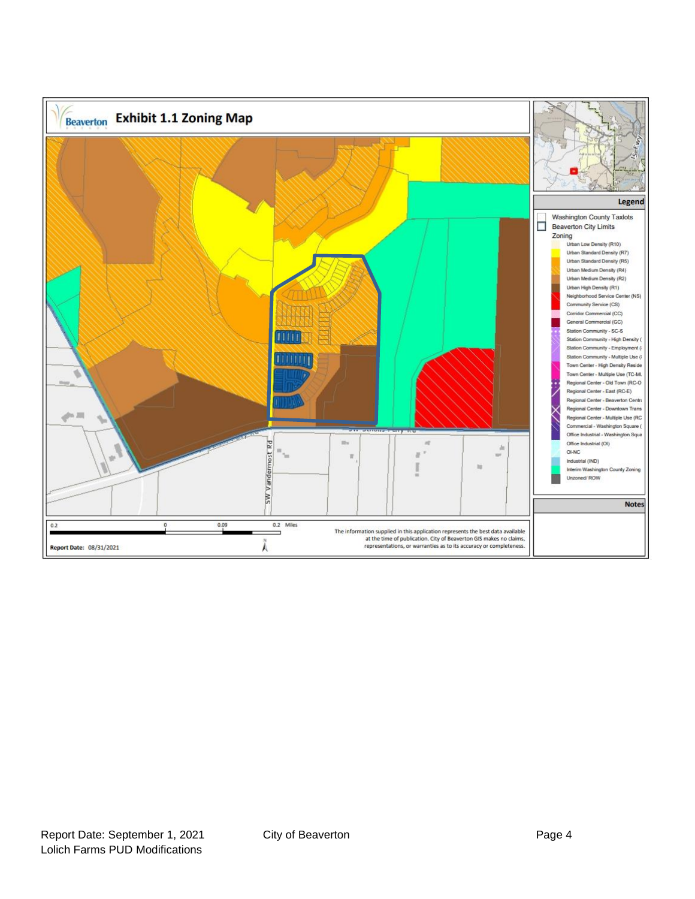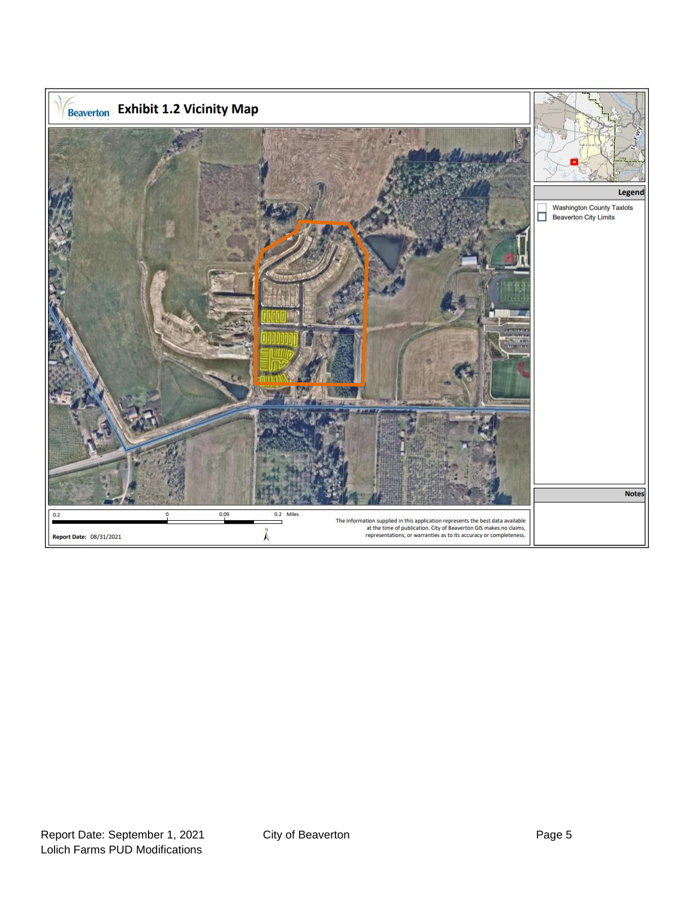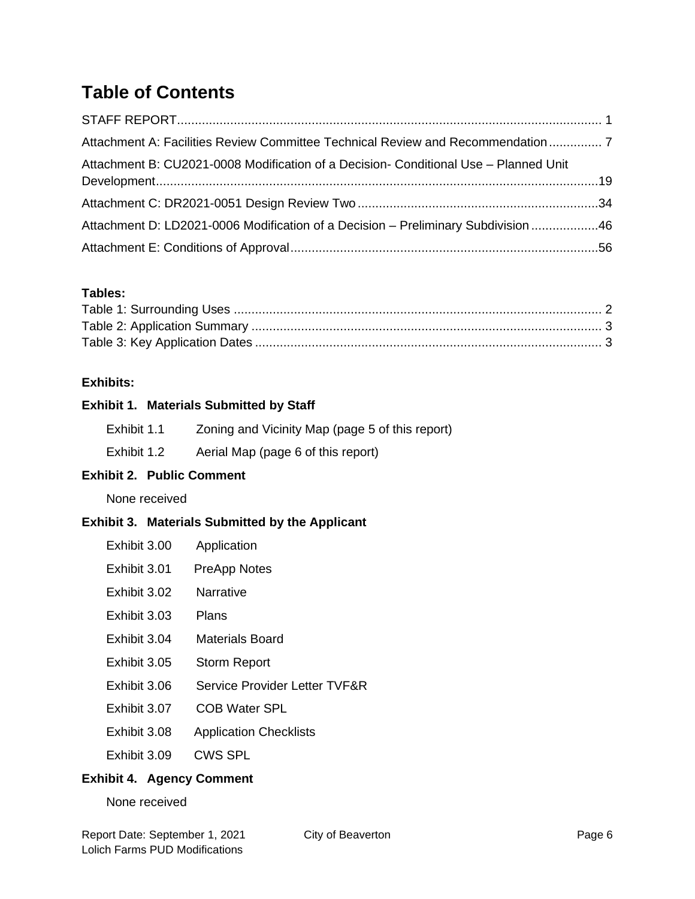## **Table of Contents**

| Attachment A: Facilities Review Committee Technical Review and Recommendation        |  |
|--------------------------------------------------------------------------------------|--|
| Attachment B: CU2021-0008 Modification of a Decision- Conditional Use - Planned Unit |  |
|                                                                                      |  |
| Attachment D: LD2021-0006 Modification of a Decision - Preliminary Subdivision 46    |  |
|                                                                                      |  |

#### **Tables:**

#### **Exhibits:**

#### **Exhibit 1. Materials Submitted by Staff**

| Exhibit 1.1 | Zoning and Vicinity Map (page 5 of this report) |  |  |  |  |
|-------------|-------------------------------------------------|--|--|--|--|
|             |                                                 |  |  |  |  |

Exhibit 1.2 Aerial Map (page 6 of this report)

#### **Exhibit 2. Public Comment**

None received

#### **Exhibit 3. Materials Submitted by the Applicant**

| Exhibit 3.00 | Application |
|--------------|-------------|
|--------------|-------------|

- Exhibit 3.01 PreApp Notes
- Exhibit 3.02 Narrative
- Exhibit 3.03 Plans
- Exhibit 3.04 Materials Board
- Exhibit 3.05 Storm Report
- Exhibit 3.06 Service Provider Letter TVF&R
- Exhibit 3.07 COB Water SPL
- Exhibit 3.08 Application Checklists
- Exhibit 3.09 CWS SPL

#### **Exhibit 4. Agency Comment**

None received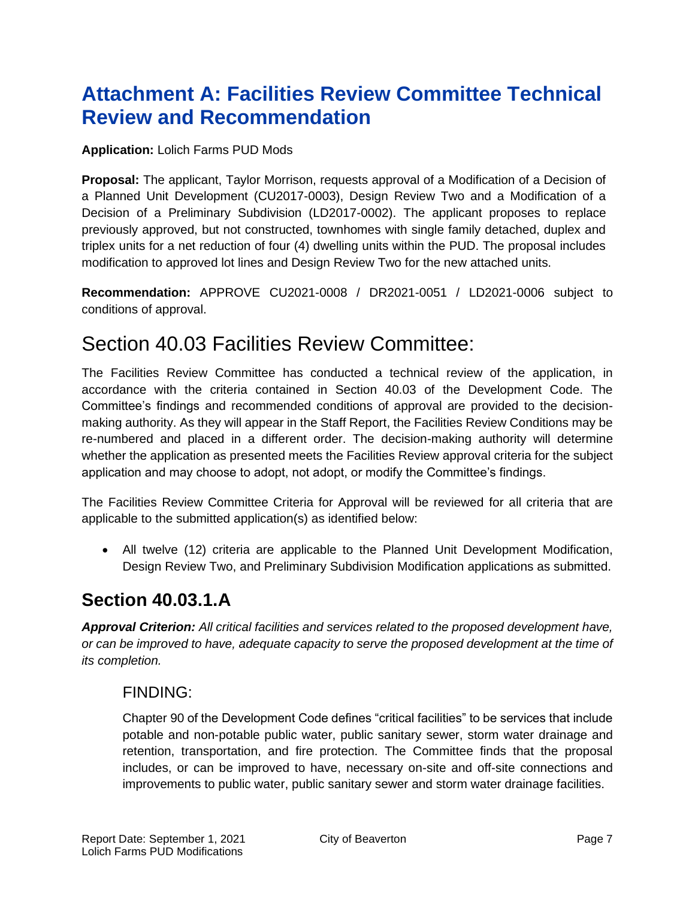# <span id="page-6-0"></span>**Attachment A: Facilities Review Committee Technical Review and Recommendation**

#### **Application:** Lolich Farms PUD Mods

**Proposal:** The applicant, Taylor Morrison, requests approval of a Modification of a Decision of a Planned Unit Development (CU2017-0003), Design Review Two and a Modification of a Decision of a Preliminary Subdivision (LD2017-0002). The applicant proposes to replace previously approved, but not constructed, townhomes with single family detached, duplex and triplex units for a net reduction of four (4) dwelling units within the PUD. The proposal includes modification to approved lot lines and Design Review Two for the new attached units.

**Recommendation:** APPROVE CU2021-0008 / DR2021-0051 / LD2021-0006 subject to conditions of approval.

## Section 40.03 Facilities Review Committee:

The Facilities Review Committee has conducted a technical review of the application, in accordance with the criteria contained in Section 40.03 of the Development Code. The Committee's findings and recommended conditions of approval are provided to the decisionmaking authority. As they will appear in the Staff Report, the Facilities Review Conditions may be re-numbered and placed in a different order. The decision-making authority will determine whether the application as presented meets the Facilities Review approval criteria for the subject application and may choose to adopt, not adopt, or modify the Committee's findings.

The Facilities Review Committee Criteria for Approval will be reviewed for all criteria that are applicable to the submitted application(s) as identified below:

• All twelve (12) criteria are applicable to the Planned Unit Development Modification, Design Review Two, and Preliminary Subdivision Modification applications as submitted.

## **Section 40.03.1.A**

*Approval Criterion: All critical facilities and services related to the proposed development have, or can be improved to have, adequate capacity to serve the proposed development at the time of its completion.*

### FINDING:

Chapter 90 of the Development Code defines "critical facilities" to be services that include potable and non-potable public water, public sanitary sewer, storm water drainage and retention, transportation, and fire protection. The Committee finds that the proposal includes, or can be improved to have, necessary on-site and off-site connections and improvements to public water, public sanitary sewer and storm water drainage facilities.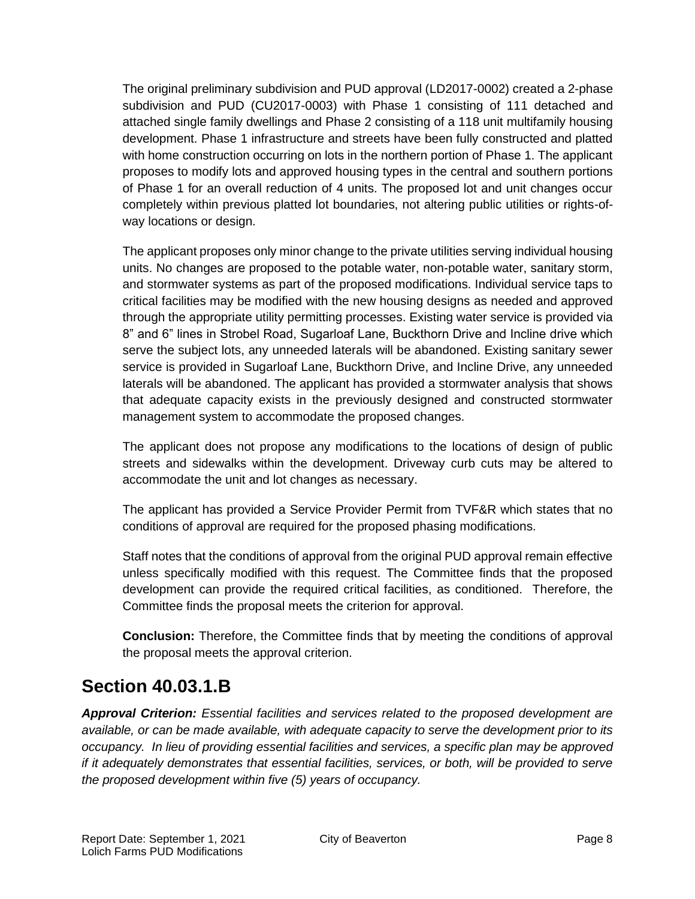The original preliminary subdivision and PUD approval (LD2017-0002) created a 2-phase subdivision and PUD (CU2017-0003) with Phase 1 consisting of 111 detached and attached single family dwellings and Phase 2 consisting of a 118 unit multifamily housing development. Phase 1 infrastructure and streets have been fully constructed and platted with home construction occurring on lots in the northern portion of Phase 1. The applicant proposes to modify lots and approved housing types in the central and southern portions of Phase 1 for an overall reduction of 4 units. The proposed lot and unit changes occur completely within previous platted lot boundaries, not altering public utilities or rights-ofway locations or design.

The applicant proposes only minor change to the private utilities serving individual housing units. No changes are proposed to the potable water, non-potable water, sanitary storm, and stormwater systems as part of the proposed modifications. Individual service taps to critical facilities may be modified with the new housing designs as needed and approved through the appropriate utility permitting processes. Existing water service is provided via 8" and 6" lines in Strobel Road, Sugarloaf Lane, Buckthorn Drive and Incline drive which serve the subject lots, any unneeded laterals will be abandoned. Existing sanitary sewer service is provided in Sugarloaf Lane, Buckthorn Drive, and Incline Drive, any unneeded laterals will be abandoned. The applicant has provided a stormwater analysis that shows that adequate capacity exists in the previously designed and constructed stormwater management system to accommodate the proposed changes.

The applicant does not propose any modifications to the locations of design of public streets and sidewalks within the development. Driveway curb cuts may be altered to accommodate the unit and lot changes as necessary.

The applicant has provided a Service Provider Permit from TVF&R which states that no conditions of approval are required for the proposed phasing modifications.

Staff notes that the conditions of approval from the original PUD approval remain effective unless specifically modified with this request. The Committee finds that the proposed development can provide the required critical facilities, as conditioned. Therefore, the Committee finds the proposal meets the criterion for approval.

**Conclusion:** Therefore, the Committee finds that by meeting the conditions of approval the proposal meets the approval criterion.

### **Section 40.03.1.B**

*Approval Criterion: Essential facilities and services related to the proposed development are available, or can be made available, with adequate capacity to serve the development prior to its occupancy. In lieu of providing essential facilities and services, a specific plan may be approved if it adequately demonstrates that essential facilities, services, or both, will be provided to serve the proposed development within five (5) years of occupancy.*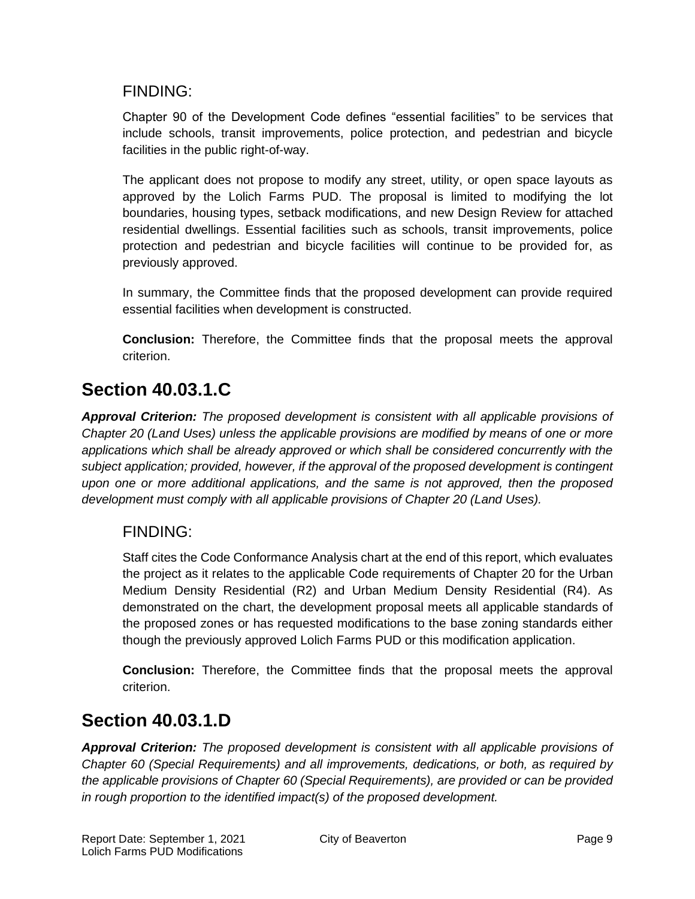### FINDING:

Chapter 90 of the Development Code defines "essential facilities" to be services that include schools, transit improvements, police protection, and pedestrian and bicycle facilities in the public right-of-way.

The applicant does not propose to modify any street, utility, or open space layouts as approved by the Lolich Farms PUD. The proposal is limited to modifying the lot boundaries, housing types, setback modifications, and new Design Review for attached residential dwellings. Essential facilities such as schools, transit improvements, police protection and pedestrian and bicycle facilities will continue to be provided for, as previously approved.

In summary, the Committee finds that the proposed development can provide required essential facilities when development is constructed.

**Conclusion:** Therefore, the Committee finds that the proposal meets the approval criterion.

## **Section 40.03.1.C**

*Approval Criterion: The proposed development is consistent with all applicable provisions of Chapter 20 (Land Uses) unless the applicable provisions are modified by means of one or more applications which shall be already approved or which shall be considered concurrently with the subject application; provided, however, if the approval of the proposed development is contingent upon one or more additional applications, and the same is not approved, then the proposed development must comply with all applicable provisions of Chapter 20 (Land Uses).*

### FINDING:

Staff cites the Code Conformance Analysis chart at the end of this report, which evaluates the project as it relates to the applicable Code requirements of Chapter 20 for the Urban Medium Density Residential (R2) and Urban Medium Density Residential (R4). As demonstrated on the chart, the development proposal meets all applicable standards of the proposed zones or has requested modifications to the base zoning standards either though the previously approved Lolich Farms PUD or this modification application.

**Conclusion:** Therefore, the Committee finds that the proposal meets the approval criterion.

## **Section 40.03.1.D**

*Approval Criterion: The proposed development is consistent with all applicable provisions of Chapter 60 (Special Requirements) and all improvements, dedications, or both, as required by the applicable provisions of Chapter 60 (Special Requirements), are provided or can be provided in rough proportion to the identified impact(s) of the proposed development.*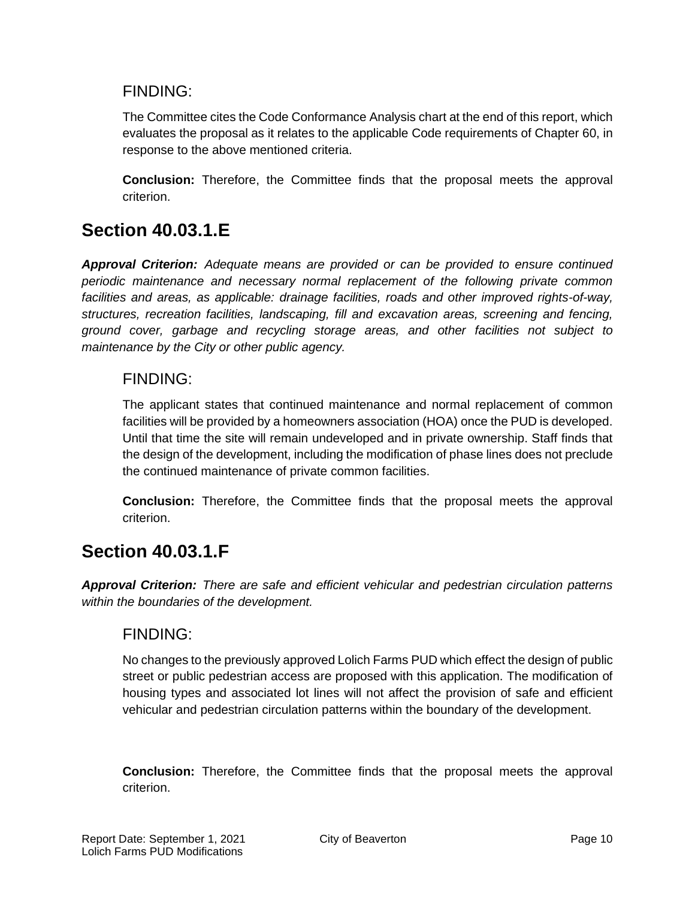### FINDING:

The Committee cites the Code Conformance Analysis chart at the end of this report, which evaluates the proposal as it relates to the applicable Code requirements of Chapter 60, in response to the above mentioned criteria.

**Conclusion:** Therefore, the Committee finds that the proposal meets the approval criterion.

## **Section 40.03.1.E**

*Approval Criterion: Adequate means are provided or can be provided to ensure continued periodic maintenance and necessary normal replacement of the following private common facilities and areas, as applicable: drainage facilities, roads and other improved rights-of-way, structures, recreation facilities, landscaping, fill and excavation areas, screening and fencing, ground cover, garbage and recycling storage areas, and other facilities not subject to maintenance by the City or other public agency.*

### FINDING:

The applicant states that continued maintenance and normal replacement of common facilities will be provided by a homeowners association (HOA) once the PUD is developed. Until that time the site will remain undeveloped and in private ownership. Staff finds that the design of the development, including the modification of phase lines does not preclude the continued maintenance of private common facilities.

**Conclusion:** Therefore, the Committee finds that the proposal meets the approval criterion.

## **Section 40.03.1.F**

*Approval Criterion: There are safe and efficient vehicular and pedestrian circulation patterns within the boundaries of the development.*

### FINDING:

No changes to the previously approved Lolich Farms PUD which effect the design of public street or public pedestrian access are proposed with this application. The modification of housing types and associated lot lines will not affect the provision of safe and efficient vehicular and pedestrian circulation patterns within the boundary of the development.

**Conclusion:** Therefore, the Committee finds that the proposal meets the approval criterion.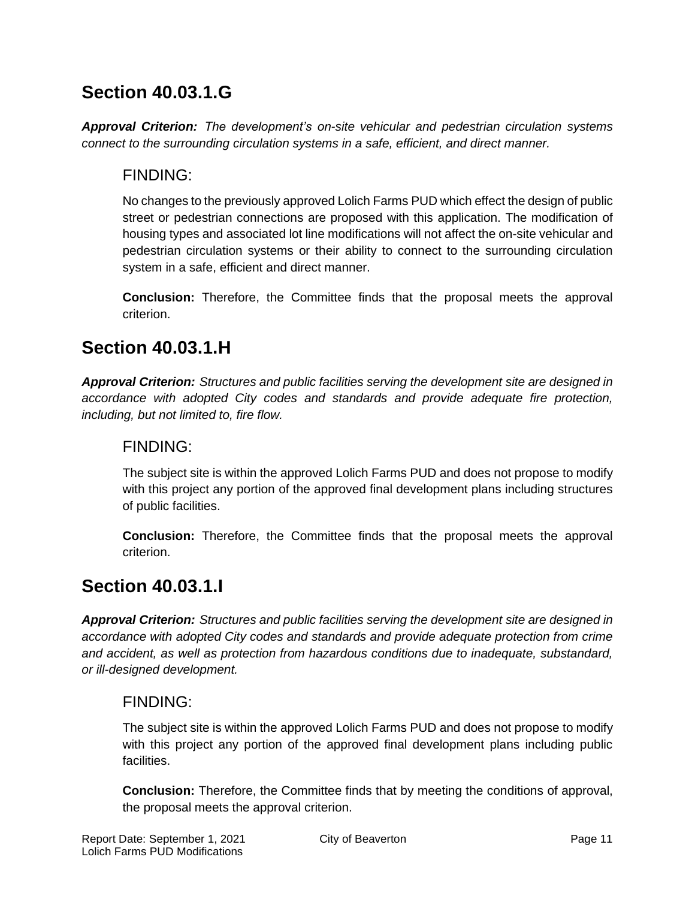## **Section 40.03.1.G**

*Approval Criterion: The development's on-site vehicular and pedestrian circulation systems connect to the surrounding circulation systems in a safe, efficient, and direct manner.*

### FINDING:

No changes to the previously approved Lolich Farms PUD which effect the design of public street or pedestrian connections are proposed with this application. The modification of housing types and associated lot line modifications will not affect the on-site vehicular and pedestrian circulation systems or their ability to connect to the surrounding circulation system in a safe, efficient and direct manner.

**Conclusion:** Therefore, the Committee finds that the proposal meets the approval criterion.

## **Section 40.03.1.H**

*Approval Criterion: Structures and public facilities serving the development site are designed in accordance with adopted City codes and standards and provide adequate fire protection, including, but not limited to, fire flow.*

### FINDING:

The subject site is within the approved Lolich Farms PUD and does not propose to modify with this project any portion of the approved final development plans including structures of public facilities.

**Conclusion:** Therefore, the Committee finds that the proposal meets the approval criterion.

## **Section 40.03.1.I**

*Approval Criterion: Structures and public facilities serving the development site are designed in accordance with adopted City codes and standards and provide adequate protection from crime and accident, as well as protection from hazardous conditions due to inadequate, substandard, or ill-designed development.*

### FINDING:

The subject site is within the approved Lolich Farms PUD and does not propose to modify with this project any portion of the approved final development plans including public facilities.

**Conclusion:** Therefore, the Committee finds that by meeting the conditions of approval, the proposal meets the approval criterion.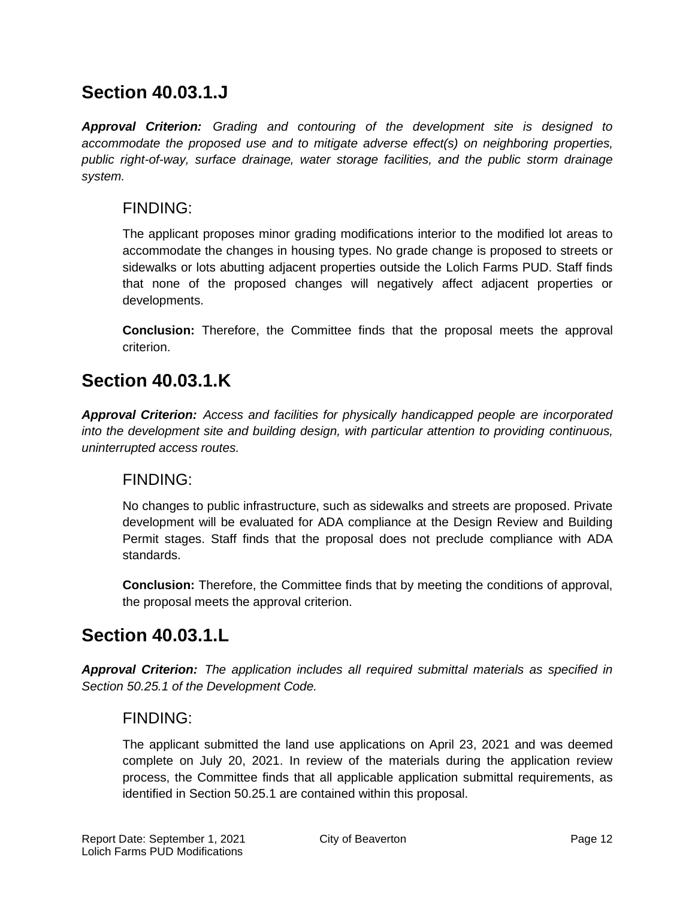### **Section 40.03.1.J**

*Approval Criterion: Grading and contouring of the development site is designed to accommodate the proposed use and to mitigate adverse effect(s) on neighboring properties, public right-of-way, surface drainage, water storage facilities, and the public storm drainage system.*

### FINDING:

The applicant proposes minor grading modifications interior to the modified lot areas to accommodate the changes in housing types. No grade change is proposed to streets or sidewalks or lots abutting adjacent properties outside the Lolich Farms PUD. Staff finds that none of the proposed changes will negatively affect adjacent properties or developments.

**Conclusion:** Therefore, the Committee finds that the proposal meets the approval criterion.

## **Section 40.03.1.K**

*Approval Criterion: Access and facilities for physically handicapped people are incorporated into the development site and building design, with particular attention to providing continuous, uninterrupted access routes.*

### FINDING:

No changes to public infrastructure, such as sidewalks and streets are proposed. Private development will be evaluated for ADA compliance at the Design Review and Building Permit stages. Staff finds that the proposal does not preclude compliance with ADA standards.

**Conclusion:** Therefore, the Committee finds that by meeting the conditions of approval, the proposal meets the approval criterion.

## **Section 40.03.1.L**

*Approval Criterion: The application includes all required submittal materials as specified in Section 50.25.1 of the Development Code.*

### FINDING:

The applicant submitted the land use applications on April 23, 2021 and was deemed complete on July 20, 2021. In review of the materials during the application review process, the Committee finds that all applicable application submittal requirements, as identified in Section 50.25.1 are contained within this proposal.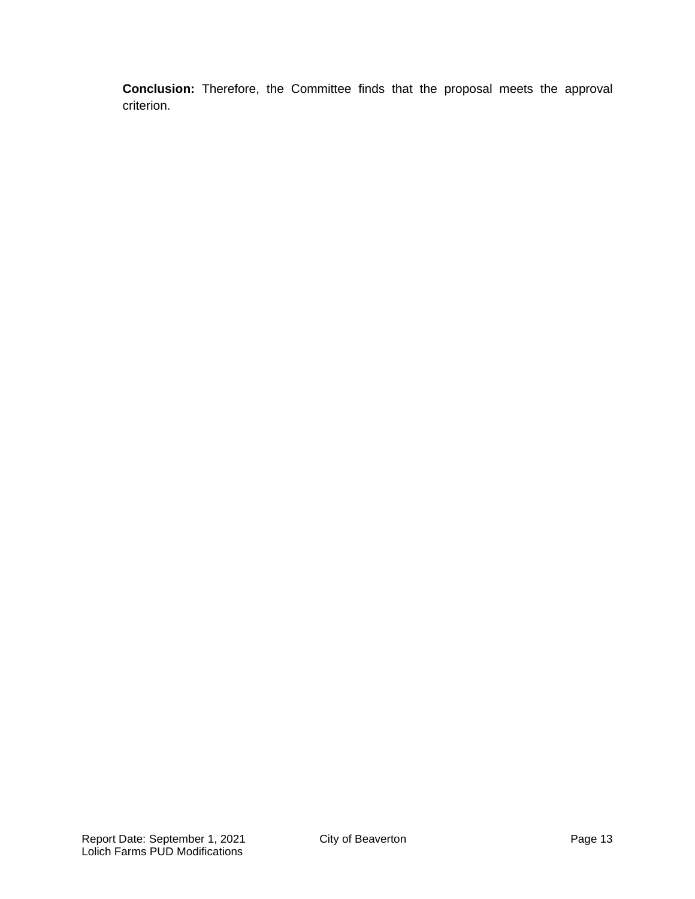**Conclusion:** Therefore, the Committee finds that the proposal meets the approval criterion.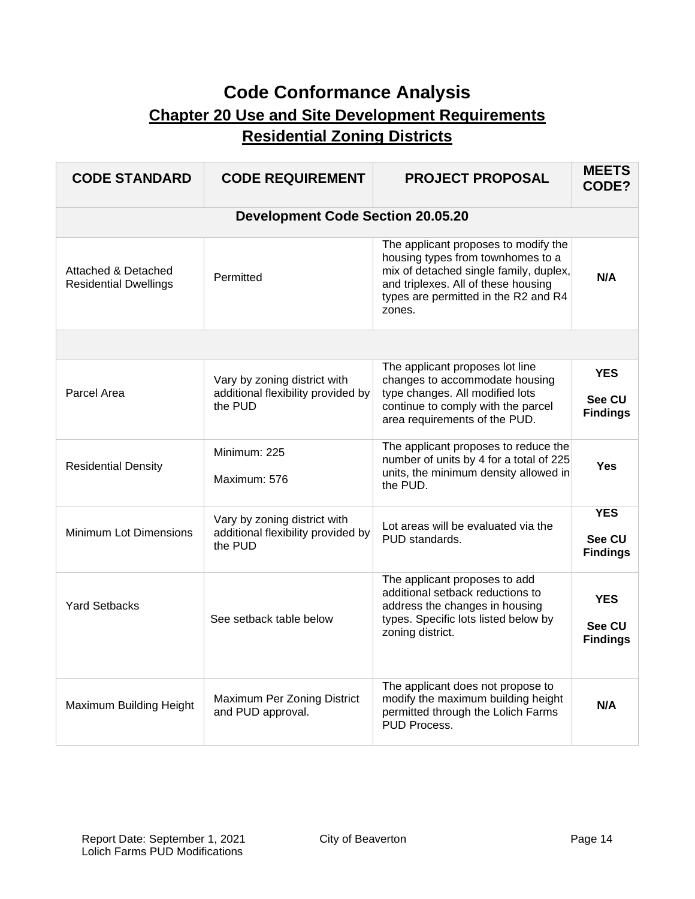## **Code Conformance Analysis Chapter 20 Use and Site Development Requirements Residential Zoning Districts**

| <b>CODE STANDARD</b>                                           | <b>CODE REQUIREMENT</b>                                                       | <b>PROJECT PROPOSAL</b>                                                                                                                                                                                      | <b>MEETS</b><br>CODE?                   |
|----------------------------------------------------------------|-------------------------------------------------------------------------------|--------------------------------------------------------------------------------------------------------------------------------------------------------------------------------------------------------------|-----------------------------------------|
|                                                                | <b>Development Code Section 20.05.20</b>                                      |                                                                                                                                                                                                              |                                         |
| <b>Attached &amp; Detached</b><br><b>Residential Dwellings</b> | Permitted                                                                     | The applicant proposes to modify the<br>housing types from townhomes to a<br>mix of detached single family, duplex,<br>and triplexes. All of these housing<br>types are permitted in the R2 and R4<br>zones. | N/A                                     |
|                                                                |                                                                               |                                                                                                                                                                                                              |                                         |
| Parcel Area                                                    | Vary by zoning district with<br>additional flexibility provided by<br>the PUD | The applicant proposes lot line<br>changes to accommodate housing<br>type changes. All modified lots<br>continue to comply with the parcel<br>area requirements of the PUD.                                  | <b>YES</b><br>See CU<br><b>Findings</b> |
| <b>Residential Density</b>                                     | Minimum: 225<br>Maximum: 576                                                  | The applicant proposes to reduce the<br>number of units by 4 for a total of 225<br>units, the minimum density allowed in<br>the PUD.                                                                         | Yes                                     |
| <b>Minimum Lot Dimensions</b>                                  | Vary by zoning district with<br>additional flexibility provided by<br>the PUD | Lot areas will be evaluated via the<br>PUD standards.                                                                                                                                                        | <b>YES</b><br>See CU<br><b>Findings</b> |
| <b>Yard Setbacks</b>                                           | See setback table below                                                       | The applicant proposes to add<br>additional setback reductions to<br>address the changes in housing<br>types. Specific lots listed below by<br>zoning district.                                              | <b>YES</b><br>See CU<br><b>Findings</b> |
| Maximum Building Height                                        | Maximum Per Zoning District<br>and PUD approval.                              | The applicant does not propose to<br>modify the maximum building height<br>permitted through the Lolich Farms<br>PUD Process.                                                                                | N/A                                     |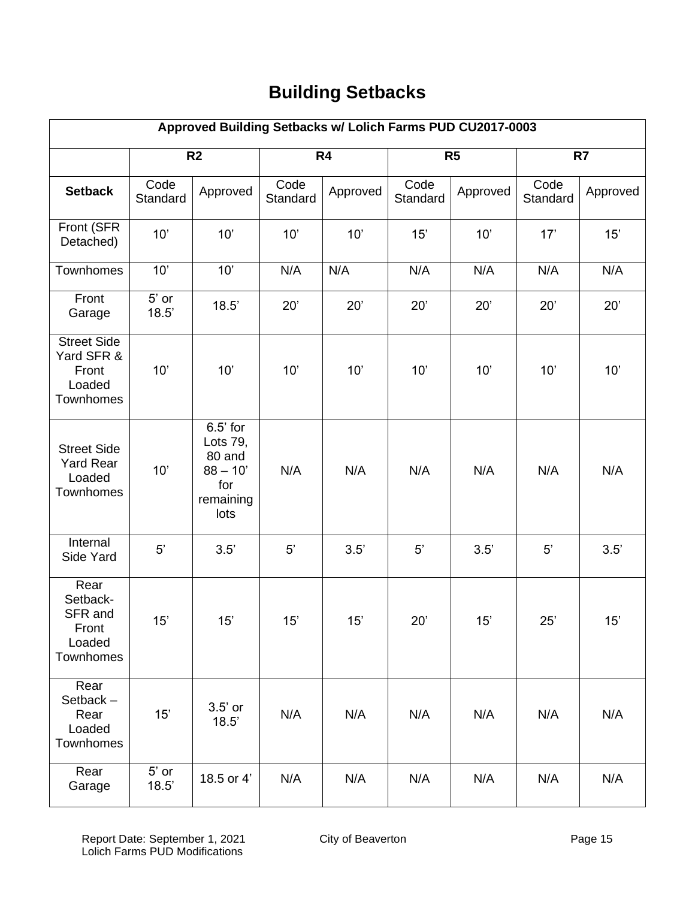# **Building Setbacks**

| Approved Building Setbacks w/ Lolich Farms PUD CU2017-0003       |                  |                                                                            |                  |          |                  |                |                  |          |
|------------------------------------------------------------------|------------------|----------------------------------------------------------------------------|------------------|----------|------------------|----------------|------------------|----------|
|                                                                  |                  | R <sub>2</sub>                                                             |                  | R4       |                  | R <sub>5</sub> |                  | R7       |
| <b>Setback</b>                                                   | Code<br>Standard | Approved                                                                   | Code<br>Standard | Approved | Code<br>Standard | Approved       | Code<br>Standard | Approved |
| Front (SFR<br>Detached)                                          | 10'              | 10'                                                                        | 10'              | 10'      | 15'              | 10'            | 17'              | 15'      |
| Townhomes                                                        | 10'              | 10'                                                                        | N/A              | N/A      | N/A              | N/A            | N/A              | N/A      |
| Front<br>Garage                                                  | $5'$ or<br>18.5' | 18.5'                                                                      | 20'              | 20'      | 20'              | 20'            | 20'              | 20'      |
| <b>Street Side</b><br>Yard SFR &<br>Front<br>Loaded<br>Townhomes | 10'              | 10'                                                                        | 10'              | 10'      | 10'              | 10'            | 10'              | 10'      |
| <b>Street Side</b><br><b>Yard Rear</b><br>Loaded<br>Townhomes    | 10'              | $6.5'$ for<br>Lots 79,<br>80 and<br>$88 - 10'$<br>for<br>remaining<br>lots | N/A              | N/A      | N/A              | N/A            | N/A              | N/A      |
| Internal<br>Side Yard                                            | 5'               | 3.5'                                                                       | 5'               | 3.5'     | $5^{\prime}$     | 3.5'           | 5'               | 3.5'     |
| Rear<br>Setback-<br>SFR and<br>Front<br>Loaded<br>Townhomes      | 15'              | 15'                                                                        | 15'              | 15'      | 20'              | 15'            | 25'              | 15'      |
| Rear<br>Setback-<br>Rear<br>Loaded<br>Townhomes                  | 15'              | $3.5'$ or<br>18.5'                                                         | N/A              | N/A      | N/A              | N/A            | N/A              | N/A      |
| Rear<br>Garage                                                   | $5'$ or<br>18.5' | 18.5 or 4'                                                                 | N/A              | N/A      | N/A              | N/A            | N/A              | N/A      |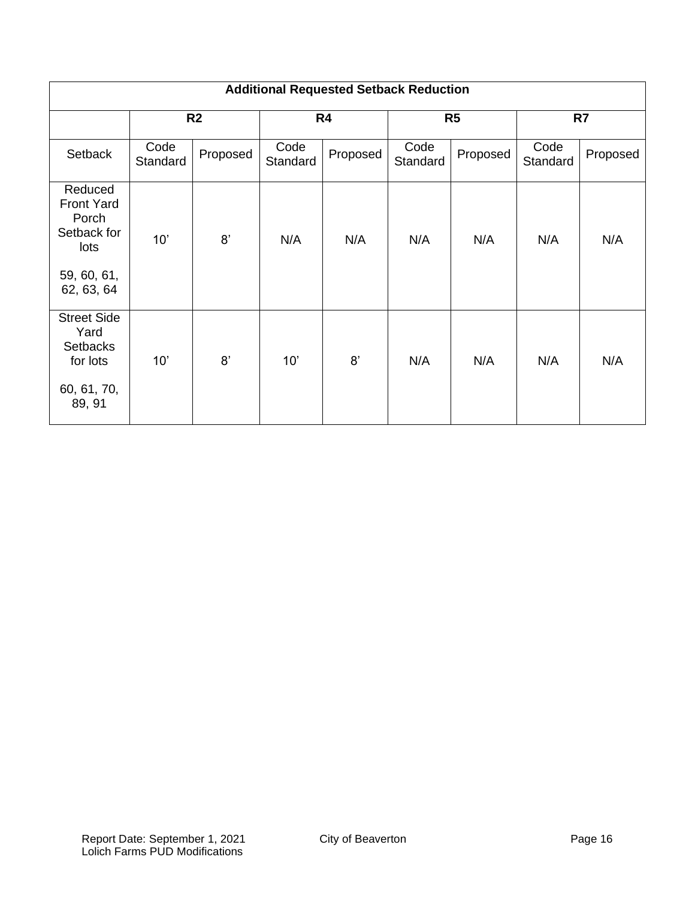|                                                                                           | <b>Additional Requested Setback Reduction</b> |                |                  |                |                  |                |                  |          |
|-------------------------------------------------------------------------------------------|-----------------------------------------------|----------------|------------------|----------------|------------------|----------------|------------------|----------|
|                                                                                           |                                               | R <sub>2</sub> |                  | R <sub>4</sub> |                  | R <sub>5</sub> | R7               |          |
| Setback                                                                                   | Code<br>Standard                              | Proposed       | Code<br>Standard | Proposed       | Code<br>Standard | Proposed       | Code<br>Standard | Proposed |
| Reduced<br><b>Front Yard</b><br>Porch<br>Setback for<br>lots<br>59, 60, 61,<br>62, 63, 64 | 10'                                           | 8'             | N/A              | N/A            | N/A              | N/A            | N/A              | N/A      |
| <b>Street Side</b><br>Yard<br><b>Setbacks</b><br>for lots<br>60, 61, 70,<br>89, 91        | 10'                                           | 8'             | 10'              | 8'             | N/A              | N/A            | N/A              | N/A      |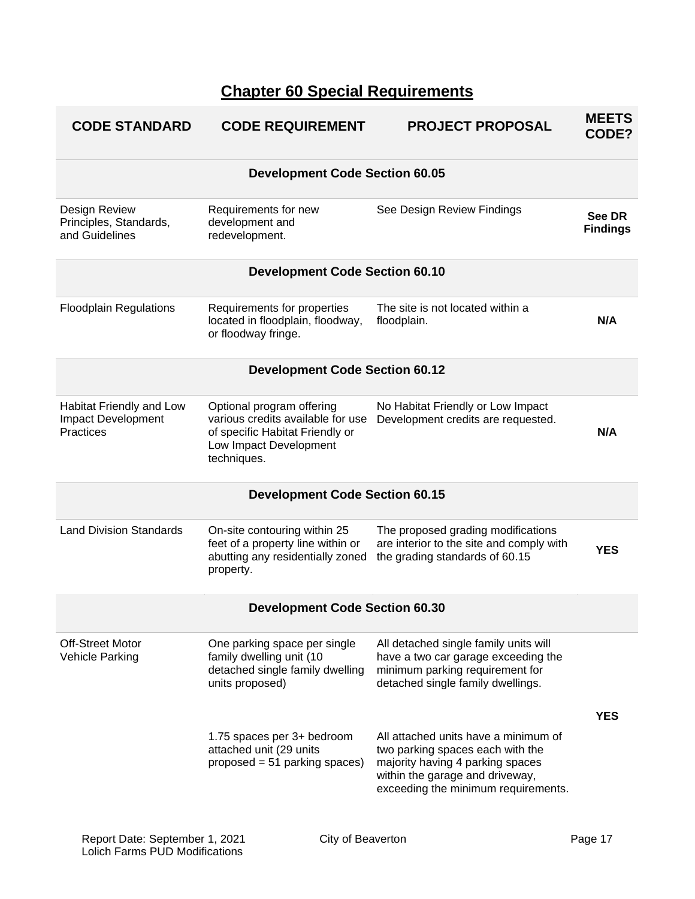## **Chapter 60 Special Requirements**

| <b>CODE STANDARD</b>                                               | <b>CODE REQUIREMENT</b>                                                                                                                    | <b>PROJECT PROPOSAL</b>                                                                                                                                                                | <b>MEETS</b><br>CODE?     |
|--------------------------------------------------------------------|--------------------------------------------------------------------------------------------------------------------------------------------|----------------------------------------------------------------------------------------------------------------------------------------------------------------------------------------|---------------------------|
|                                                                    | <b>Development Code Section 60.05</b>                                                                                                      |                                                                                                                                                                                        |                           |
| Design Review<br>Principles, Standards,<br>and Guidelines          | Requirements for new<br>development and<br>redevelopment.                                                                                  | See Design Review Findings                                                                                                                                                             | See DR<br><b>Findings</b> |
|                                                                    | <b>Development Code Section 60.10</b>                                                                                                      |                                                                                                                                                                                        |                           |
| <b>Floodplain Regulations</b>                                      | Requirements for properties<br>located in floodplain, floodway,<br>or floodway fringe.                                                     | The site is not located within a<br>floodplain.                                                                                                                                        | N/A                       |
|                                                                    | <b>Development Code Section 60.12</b>                                                                                                      |                                                                                                                                                                                        |                           |
| Habitat Friendly and Low<br>Impact Development<br><b>Practices</b> | Optional program offering<br>various credits available for use<br>of specific Habitat Friendly or<br>Low Impact Development<br>techniques. | No Habitat Friendly or Low Impact<br>Development credits are requested.                                                                                                                | N/A                       |
|                                                                    | <b>Development Code Section 60.15</b>                                                                                                      |                                                                                                                                                                                        |                           |
| <b>Land Division Standards</b>                                     | On-site contouring within 25<br>feet of a property line within or<br>abutting any residentially zoned<br>property.                         | The proposed grading modifications<br>are interior to the site and comply with<br>the grading standards of 60.15                                                                       | <b>YES</b>                |
|                                                                    | <b>Development Code Section 60.30</b>                                                                                                      |                                                                                                                                                                                        |                           |
| <b>Off-Street Motor</b><br>Vehicle Parking                         | One parking space per single<br>family dwelling unit (10<br>detached single family dwelling<br>units proposed)                             | All detached single family units will<br>have a two car garage exceeding the<br>minimum parking requirement for<br>detached single family dwellings.                                   |                           |
|                                                                    | 1.75 spaces per 3+ bedroom<br>attached unit (29 units<br>proposed = 51 parking spaces)                                                     | All attached units have a minimum of<br>two parking spaces each with the<br>majority having 4 parking spaces<br>within the garage and driveway,<br>exceeding the minimum requirements. | <b>YES</b>                |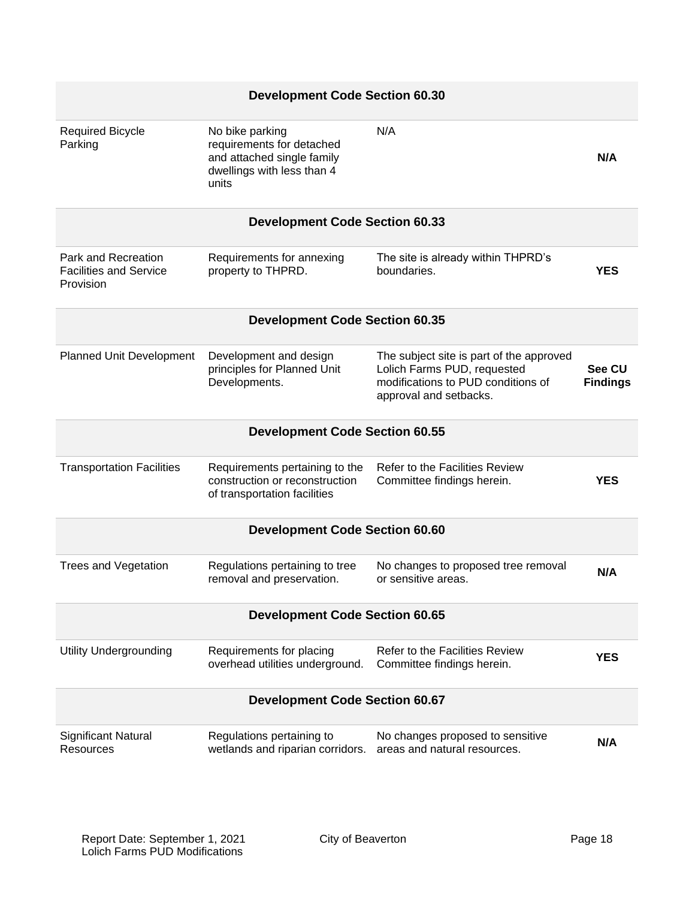| <b>Development Code Section 60.30</b>                             |                                                                                                                   |                                                                                                                                         |                           |
|-------------------------------------------------------------------|-------------------------------------------------------------------------------------------------------------------|-----------------------------------------------------------------------------------------------------------------------------------------|---------------------------|
| <b>Required Bicycle</b><br>Parking                                | No bike parking<br>requirements for detached<br>and attached single family<br>dwellings with less than 4<br>units | N/A                                                                                                                                     | N/A                       |
|                                                                   | <b>Development Code Section 60.33</b>                                                                             |                                                                                                                                         |                           |
| Park and Recreation<br><b>Facilities and Service</b><br>Provision | Requirements for annexing<br>property to THPRD.                                                                   | The site is already within THPRD's<br>boundaries.                                                                                       | <b>YES</b>                |
|                                                                   | <b>Development Code Section 60.35</b>                                                                             |                                                                                                                                         |                           |
| Planned Unit Development                                          | Development and design<br>principles for Planned Unit<br>Developments.                                            | The subject site is part of the approved<br>Lolich Farms PUD, requested<br>modifications to PUD conditions of<br>approval and setbacks. | See CU<br><b>Findings</b> |
|                                                                   | <b>Development Code Section 60.55</b>                                                                             |                                                                                                                                         |                           |
| <b>Transportation Facilities</b>                                  | Requirements pertaining to the<br>construction or reconstruction<br>of transportation facilities                  | <b>Refer to the Facilities Review</b><br>Committee findings herein.                                                                     | <b>YES</b>                |
|                                                                   | <b>Development Code Section 60.60</b>                                                                             |                                                                                                                                         |                           |
| <b>Trees and Vegetation</b>                                       | Regulations pertaining to tree<br>removal and preservation.                                                       | No changes to proposed tree removal<br>or sensitive areas.                                                                              | N/A                       |
| <b>Development Code Section 60.65</b>                             |                                                                                                                   |                                                                                                                                         |                           |
| <b>Utility Undergrounding</b>                                     | Requirements for placing<br>overhead utilities underground.                                                       | <b>Refer to the Facilities Review</b><br>Committee findings herein.                                                                     | <b>YES</b>                |
| <b>Development Code Section 60.67</b>                             |                                                                                                                   |                                                                                                                                         |                           |
| Significant Natural<br>Resources                                  | Regulations pertaining to<br>wetlands and riparian corridors.                                                     | No changes proposed to sensitive<br>areas and natural resources.                                                                        | N/A                       |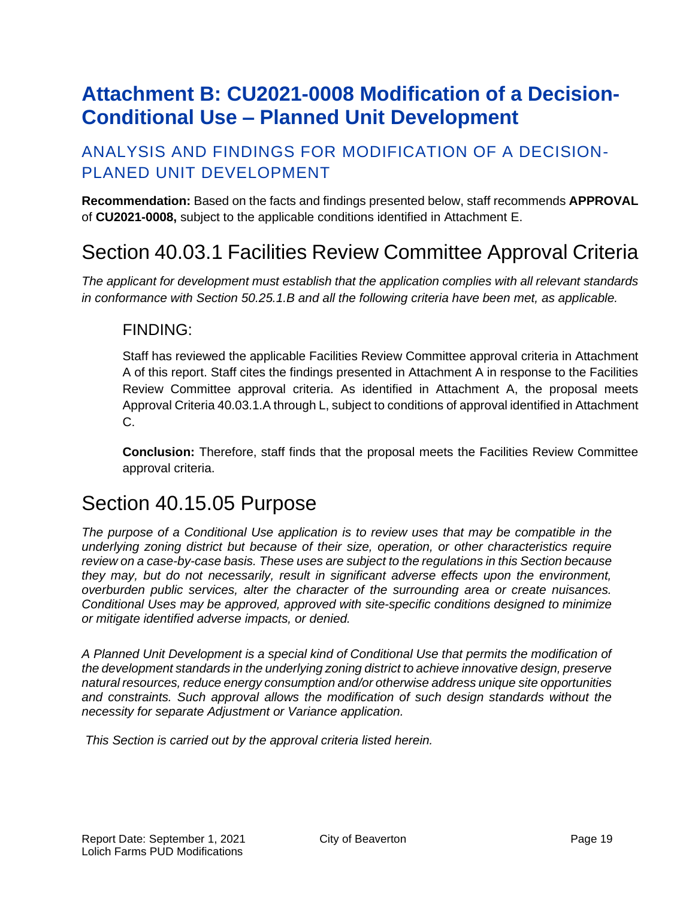# <span id="page-18-0"></span>**Attachment B: CU2021-0008 Modification of a Decision-Conditional Use – Planned Unit Development**

### ANALYSIS AND FINDINGS FOR MODIFICATION OF A DECISION-PLANED UNIT DEVELOPMENT

**Recommendation:** Based on the facts and findings presented below, staff recommends **APPROVAL** of **CU2021-0008,** subject to the applicable conditions identified in Attachment E.

## Section 40.03.1 Facilities Review Committee Approval Criteria

*The applicant for development must establish that the application complies with all relevant standards in conformance with Section 50.25.1.B and all the following criteria have been met, as applicable.*

### FINDING:

Staff has reviewed the applicable Facilities Review Committee approval criteria in Attachment A of this report. Staff cites the findings presented in Attachment A in response to the Facilities Review Committee approval criteria. As identified in Attachment A, the proposal meets Approval Criteria 40.03.1.A through L, subject to conditions of approval identified in Attachment C.

**Conclusion:** Therefore, staff finds that the proposal meets the Facilities Review Committee approval criteria.

## Section 40.15.05 Purpose

*The purpose of a Conditional Use application is to review uses that may be compatible in the underlying zoning district but because of their size, operation, or other characteristics require review on a case-by-case basis. These uses are subject to the regulations in this Section because they may, but do not necessarily, result in significant adverse effects upon the environment, overburden public services, alter the character of the surrounding area or create nuisances. Conditional Uses may be approved, approved with site-specific conditions designed to minimize or mitigate identified adverse impacts, or denied.*

*A Planned Unit Development is a special kind of Conditional Use that permits the modification of the development standards in the underlying zoning district to achieve innovative design, preserve natural resources, reduce energy consumption and/or otherwise address unique site opportunities and constraints. Such approval allows the modification of such design standards without the necessity for separate Adjustment or Variance application.* 

*This Section is carried out by the approval criteria listed herein.*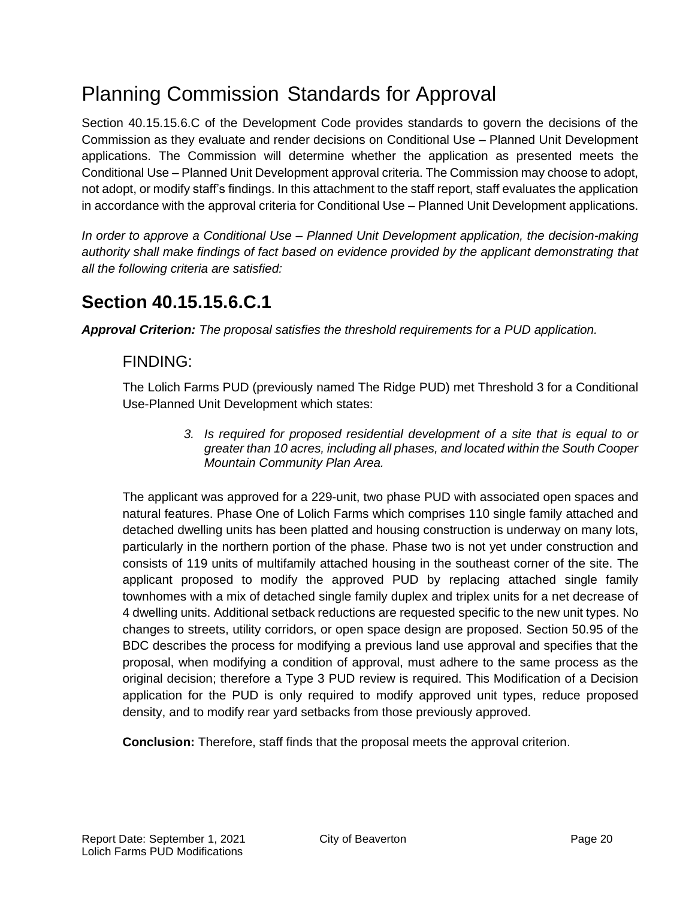# Planning Commission Standards for Approval

Section 40.15.15.6.C of the Development Code provides standards to govern the decisions of the Commission as they evaluate and render decisions on Conditional Use – Planned Unit Development applications. The Commission will determine whether the application as presented meets the Conditional Use – Planned Unit Development approval criteria. The Commission may choose to adopt, not adopt, or modify staff's findings. In this attachment to the staff report, staff evaluates the application in accordance with the approval criteria for Conditional Use – Planned Unit Development applications.

*In order to approve a Conditional Use – Planned Unit Development application, the decision-making authority shall make findings of fact based on evidence provided by the applicant demonstrating that all the following criteria are satisfied:*

## **Section 40.15.15.6.C.1**

*Approval Criterion: The proposal satisfies the threshold requirements for a PUD application.*

### FINDING:

The Lolich Farms PUD (previously named The Ridge PUD) met Threshold 3 for a Conditional Use-Planned Unit Development which states:

> *3. Is required for proposed residential development of a site that is equal to or greater than 10 acres, including all phases, and located within the South Cooper Mountain Community Plan Area.*

The applicant was approved for a 229-unit, two phase PUD with associated open spaces and natural features. Phase One of Lolich Farms which comprises 110 single family attached and detached dwelling units has been platted and housing construction is underway on many lots, particularly in the northern portion of the phase. Phase two is not yet under construction and consists of 119 units of multifamily attached housing in the southeast corner of the site. The applicant proposed to modify the approved PUD by replacing attached single family townhomes with a mix of detached single family duplex and triplex units for a net decrease of 4 dwelling units. Additional setback reductions are requested specific to the new unit types. No changes to streets, utility corridors, or open space design are proposed. Section 50.95 of the BDC describes the process for modifying a previous land use approval and specifies that the proposal, when modifying a condition of approval, must adhere to the same process as the original decision; therefore a Type 3 PUD review is required. This Modification of a Decision application for the PUD is only required to modify approved unit types, reduce proposed density, and to modify rear yard setbacks from those previously approved.

**Conclusion:** Therefore, staff finds that the proposal meets the approval criterion.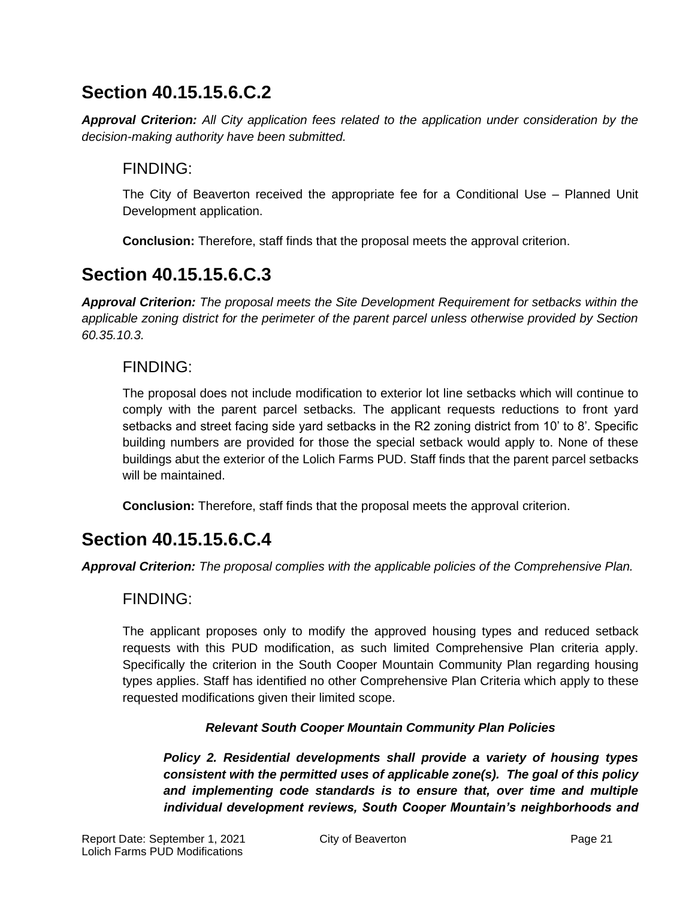*Approval Criterion: All City application fees related to the application under consideration by the decision-making authority have been submitted.*

### FINDING:

The City of Beaverton received the appropriate fee for a Conditional Use – Planned Unit Development application.

**Conclusion:** Therefore, staff finds that the proposal meets the approval criterion.

## **Section 40.15.15.6.C.3**

*Approval Criterion: The proposal meets the Site Development Requirement for setbacks within the applicable zoning district for the perimeter of the parent parcel unless otherwise provided by Section 60.35.10.3.*

### FINDING:

The proposal does not include modification to exterior lot line setbacks which will continue to comply with the parent parcel setbacks. The applicant requests reductions to front yard setbacks and street facing side yard setbacks in the R2 zoning district from 10' to 8'. Specific building numbers are provided for those the special setback would apply to. None of these buildings abut the exterior of the Lolich Farms PUD. Staff finds that the parent parcel setbacks will be maintained.

**Conclusion:** Therefore, staff finds that the proposal meets the approval criterion.

## **Section 40.15.15.6.C.4**

*Approval Criterion: The proposal complies with the applicable policies of the Comprehensive Plan.*

### FINDING:

The applicant proposes only to modify the approved housing types and reduced setback requests with this PUD modification, as such limited Comprehensive Plan criteria apply. Specifically the criterion in the South Cooper Mountain Community Plan regarding housing types applies. Staff has identified no other Comprehensive Plan Criteria which apply to these requested modifications given their limited scope.

#### *Relevant South Cooper Mountain Community Plan Policies*

*Policy 2. Residential developments shall provide a variety of housing types consistent with the permitted uses of applicable zone(s). The goal of this policy and implementing code standards is to ensure that, over time and multiple individual development reviews, South Cooper Mountain's neighborhoods and*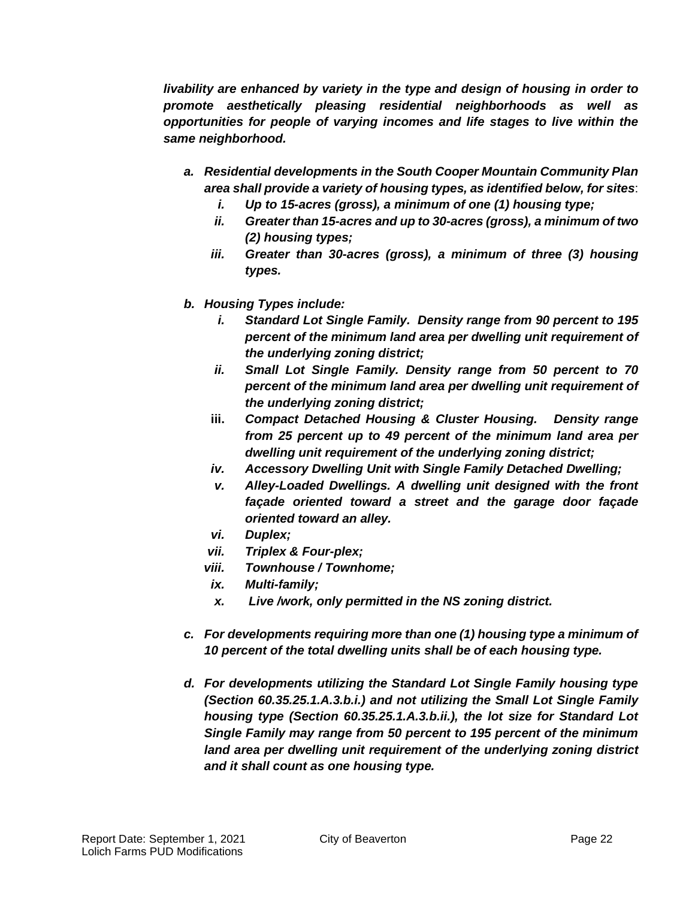*livability are enhanced by variety in the type and design of housing in order to promote aesthetically pleasing residential neighborhoods as well as opportunities for people of varying incomes and life stages to live within the same neighborhood.*

- *a. Residential developments in the South Cooper Mountain Community Plan area shall provide a variety of housing types, as identified below, for sites*:
	- *i. Up to 15-acres (gross), a minimum of one (1) housing type;*
	- *ii. Greater than 15-acres and up to 30-acres (gross), a minimum of two (2) housing types;*
	- *iii. Greater than 30-acres (gross), a minimum of three (3) housing types.*
- *b. Housing Types include:* 
	- *i. Standard Lot Single Family. Density range from 90 percent to 195 percent of the minimum land area per dwelling unit requirement of the underlying zoning district;*
	- *ii. Small Lot Single Family. Density range from 50 percent to 70 percent of the minimum land area per dwelling unit requirement of the underlying zoning district;*
	- **iii.** *Compact Detached Housing & Cluster Housing. Density range from 25 percent up to 49 percent of the minimum land area per dwelling unit requirement of the underlying zoning district;*
	- *iv. Accessory Dwelling Unit with Single Family Detached Dwelling;*
	- *v. Alley-Loaded Dwellings. A dwelling unit designed with the front façade oriented toward a street and the garage door façade oriented toward an alley.*
	- *vi. Duplex;*
	- *vii. Triplex & Four-plex;*
	- *viii. Townhouse / Townhome;*
	- *ix. Multi-family;*
	- *x. Live /work, only permitted in the NS zoning district.*
- *c. For developments requiring more than one (1) housing type a minimum of 10 percent of the total dwelling units shall be of each housing type.*
- *d. For developments utilizing the Standard Lot Single Family housing type (Section 60.35.25.1.A.3.b.i.) and not utilizing the Small Lot Single Family housing type (Section 60.35.25.1.A.3.b.ii.), the lot size for Standard Lot Single Family may range from 50 percent to 195 percent of the minimum*  land area per dwelling unit requirement of the underlying zoning district *and it shall count as one housing type.*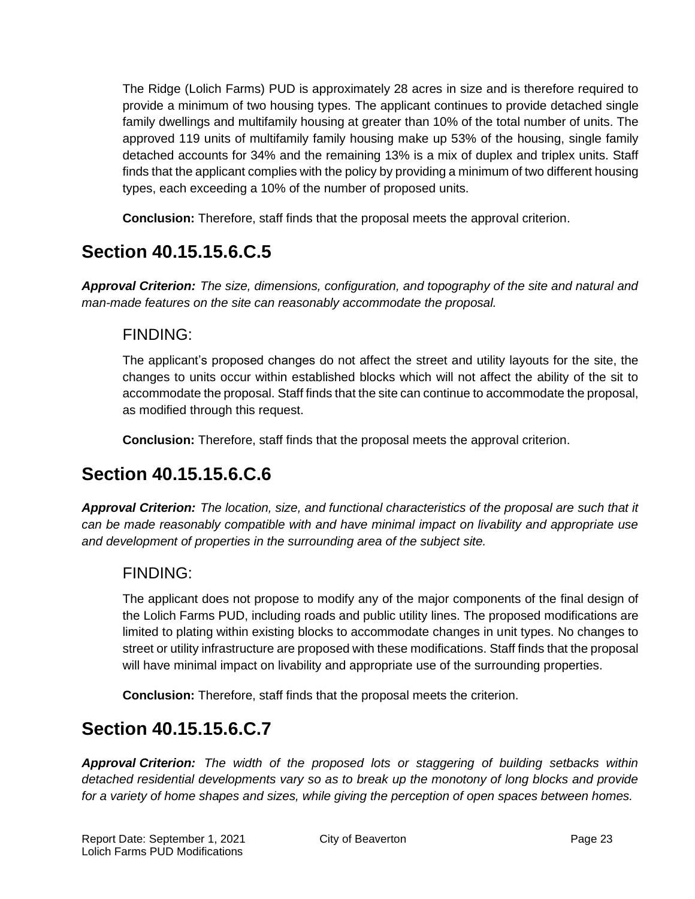The Ridge (Lolich Farms) PUD is approximately 28 acres in size and is therefore required to provide a minimum of two housing types. The applicant continues to provide detached single family dwellings and multifamily housing at greater than 10% of the total number of units. The approved 119 units of multifamily family housing make up 53% of the housing, single family detached accounts for 34% and the remaining 13% is a mix of duplex and triplex units. Staff finds that the applicant complies with the policy by providing a minimum of two different housing types, each exceeding a 10% of the number of proposed units.

**Conclusion:** Therefore, staff finds that the proposal meets the approval criterion.

## **Section 40.15.15.6.C.5**

*Approval Criterion: The size, dimensions, configuration, and topography of the site and natural and man-made features on the site can reasonably accommodate the proposal.*

### FINDING:

The applicant's proposed changes do not affect the street and utility layouts for the site, the changes to units occur within established blocks which will not affect the ability of the sit to accommodate the proposal. Staff finds that the site can continue to accommodate the proposal, as modified through this request.

**Conclusion:** Therefore, staff finds that the proposal meets the approval criterion.

## **Section 40.15.15.6.C.6**

*Approval Criterion: The location, size, and functional characteristics of the proposal are such that it can be made reasonably compatible with and have minimal impact on livability and appropriate use and development of properties in the surrounding area of the subject site.*

### FINDING:

The applicant does not propose to modify any of the major components of the final design of the Lolich Farms PUD, including roads and public utility lines. The proposed modifications are limited to plating within existing blocks to accommodate changes in unit types. No changes to street or utility infrastructure are proposed with these modifications. Staff finds that the proposal will have minimal impact on livability and appropriate use of the surrounding properties.

**Conclusion:** Therefore, staff finds that the proposal meets the criterion.

## **Section 40.15.15.6.C.7**

*Approval Criterion: The width of the proposed lots or staggering of building setbacks within detached residential developments vary so as to break up the monotony of long blocks and provide for a variety of home shapes and sizes, while giving the perception of open spaces between homes.*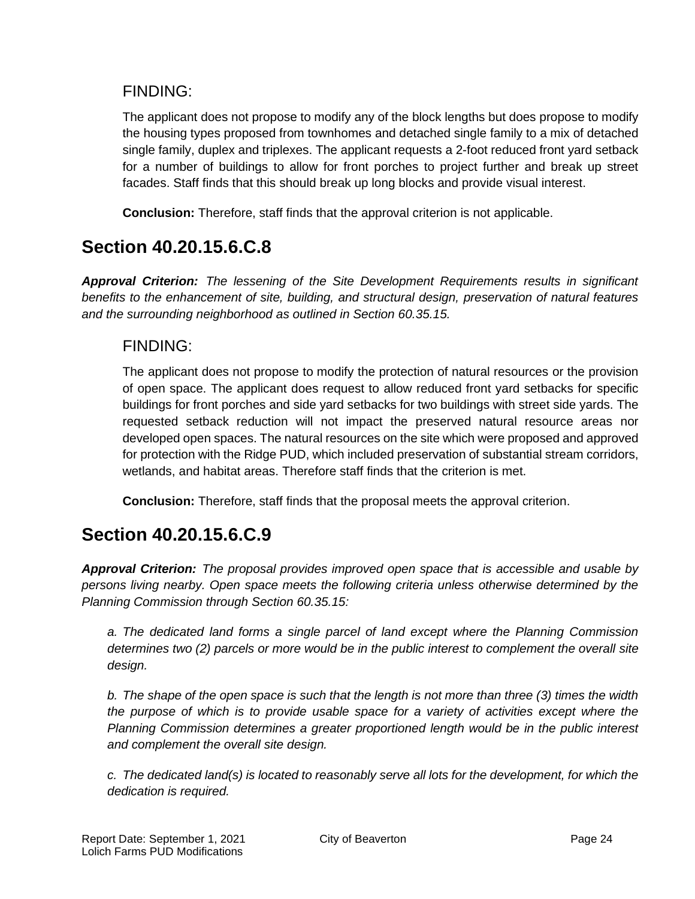### FINDING:

The applicant does not propose to modify any of the block lengths but does propose to modify the housing types proposed from townhomes and detached single family to a mix of detached single family, duplex and triplexes. The applicant requests a 2-foot reduced front yard setback for a number of buildings to allow for front porches to project further and break up street facades. Staff finds that this should break up long blocks and provide visual interest.

**Conclusion:** Therefore, staff finds that the approval criterion is not applicable.

## **Section 40.20.15.6.C.8**

*Approval Criterion: The lessening of the Site Development Requirements results in significant benefits to the enhancement of site, building, and structural design, preservation of natural features and the surrounding neighborhood as outlined in Section 60.35.15.*

### FINDING:

The applicant does not propose to modify the protection of natural resources or the provision of open space. The applicant does request to allow reduced front yard setbacks for specific buildings for front porches and side yard setbacks for two buildings with street side yards. The requested setback reduction will not impact the preserved natural resource areas nor developed open spaces. The natural resources on the site which were proposed and approved for protection with the Ridge PUD, which included preservation of substantial stream corridors, wetlands, and habitat areas. Therefore staff finds that the criterion is met.

**Conclusion:** Therefore, staff finds that the proposal meets the approval criterion.

## **Section 40.20.15.6.C.9**

*Approval Criterion: The proposal provides improved open space that is accessible and usable by persons living nearby. Open space meets the following criteria unless otherwise determined by the Planning Commission through Section 60.35.15:*

*a. The dedicated land forms a single parcel of land except where the Planning Commission determines two (2) parcels or more would be in the public interest to complement the overall site design.*

*b. The shape of the open space is such that the length is not more than three (3) times the width the purpose of which is to provide usable space for a variety of activities except where the Planning Commission determines a greater proportioned length would be in the public interest and complement the overall site design.*

*c. The dedicated land(s) is located to reasonably serve all lots for the development, for which the dedication is required.*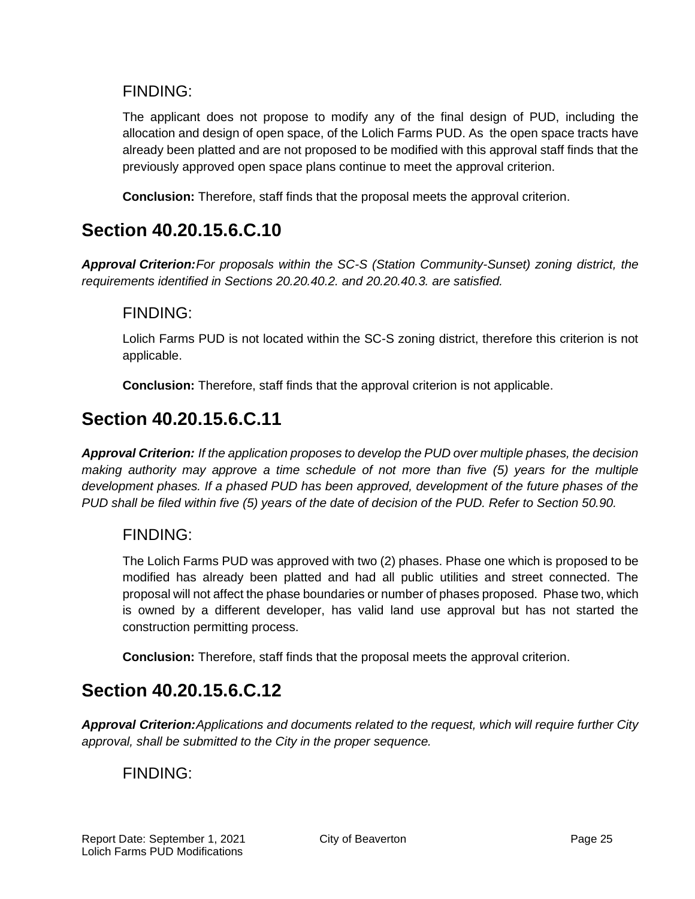### FINDING:

The applicant does not propose to modify any of the final design of PUD, including the allocation and design of open space, of the Lolich Farms PUD. As the open space tracts have already been platted and are not proposed to be modified with this approval staff finds that the previously approved open space plans continue to meet the approval criterion.

**Conclusion:** Therefore, staff finds that the proposal meets the approval criterion.

## **Section 40.20.15.6.C.10**

*Approval Criterion:For proposals within the SC-S (Station Community-Sunset) zoning district, the requirements identified in Sections 20.20.40.2. and 20.20.40.3. are satisfied.*

### FINDING:

Lolich Farms PUD is not located within the SC-S zoning district, therefore this criterion is not applicable.

**Conclusion:** Therefore, staff finds that the approval criterion is not applicable.

## **Section 40.20.15.6.C.11**

*Approval Criterion: If the application proposes to develop the PUD over multiple phases, the decision making authority may approve a time schedule of not more than five (5) years for the multiple development phases. If a phased PUD has been approved, development of the future phases of the PUD shall be filed within five (5) years of the date of decision of the PUD. Refer to Section 50.90.*

### FINDING:

The Lolich Farms PUD was approved with two (2) phases. Phase one which is proposed to be modified has already been platted and had all public utilities and street connected. The proposal will not affect the phase boundaries or number of phases proposed. Phase two, which is owned by a different developer, has valid land use approval but has not started the construction permitting process.

**Conclusion:** Therefore, staff finds that the proposal meets the approval criterion.

## **Section 40.20.15.6.C.12**

*Approval Criterion:Applications and documents related to the request, which will require further City approval, shall be submitted to the City in the proper sequence.*

### FINDING: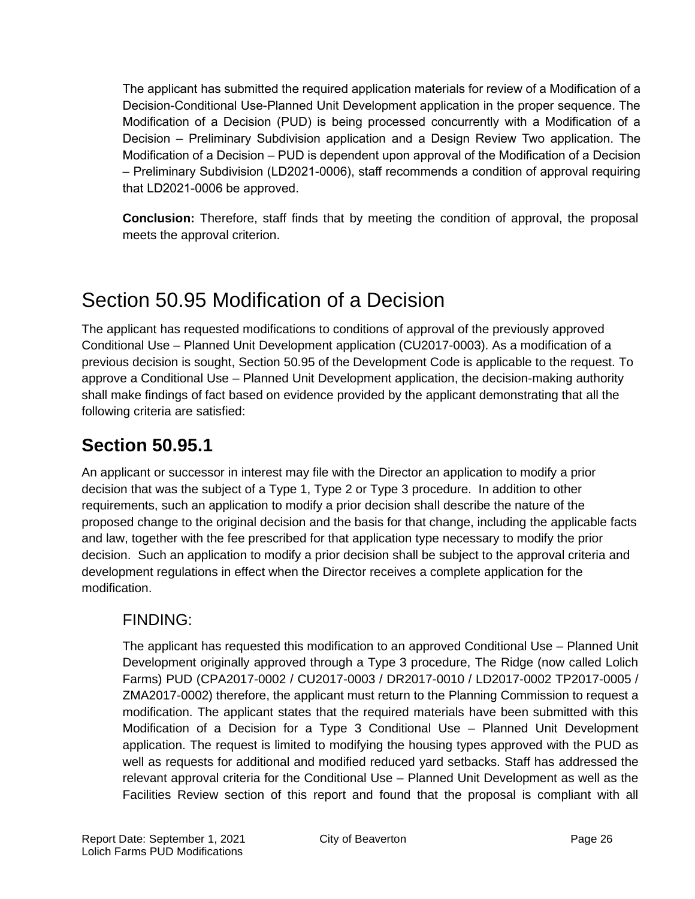The applicant has submitted the required application materials for review of a Modification of a Decision-Conditional Use-Planned Unit Development application in the proper sequence. The Modification of a Decision (PUD) is being processed concurrently with a Modification of a Decision – Preliminary Subdivision application and a Design Review Two application. The Modification of a Decision – PUD is dependent upon approval of the Modification of a Decision – Preliminary Subdivision (LD2021-0006), staff recommends a condition of approval requiring that LD2021-0006 be approved.

**Conclusion:** Therefore, staff finds that by meeting the condition of approval, the proposal meets the approval criterion.

# Section 50.95 Modification of a Decision

The applicant has requested modifications to conditions of approval of the previously approved Conditional Use – Planned Unit Development application (CU2017-0003). As a modification of a previous decision is sought, Section 50.95 of the Development Code is applicable to the request. To approve a Conditional Use – Planned Unit Development application, the decision-making authority shall make findings of fact based on evidence provided by the applicant demonstrating that all the following criteria are satisfied:

## **Section 50.95.1**

An applicant or successor in interest may file with the Director an application to modify a prior decision that was the subject of a Type 1, Type 2 or Type 3 procedure. In addition to other requirements, such an application to modify a prior decision shall describe the nature of the proposed change to the original decision and the basis for that change, including the applicable facts and law, together with the fee prescribed for that application type necessary to modify the prior decision. Such an application to modify a prior decision shall be subject to the approval criteria and development regulations in effect when the Director receives a complete application for the modification.

### FINDING:

The applicant has requested this modification to an approved Conditional Use – Planned Unit Development originally approved through a Type 3 procedure, The Ridge (now called Lolich Farms) PUD (CPA2017-0002 / CU2017-0003 / DR2017-0010 / LD2017-0002 TP2017-0005 / ZMA2017-0002) therefore, the applicant must return to the Planning Commission to request a modification. The applicant states that the required materials have been submitted with this Modification of a Decision for a Type 3 Conditional Use – Planned Unit Development application. The request is limited to modifying the housing types approved with the PUD as well as requests for additional and modified reduced yard setbacks. Staff has addressed the relevant approval criteria for the Conditional Use – Planned Unit Development as well as the Facilities Review section of this report and found that the proposal is compliant with all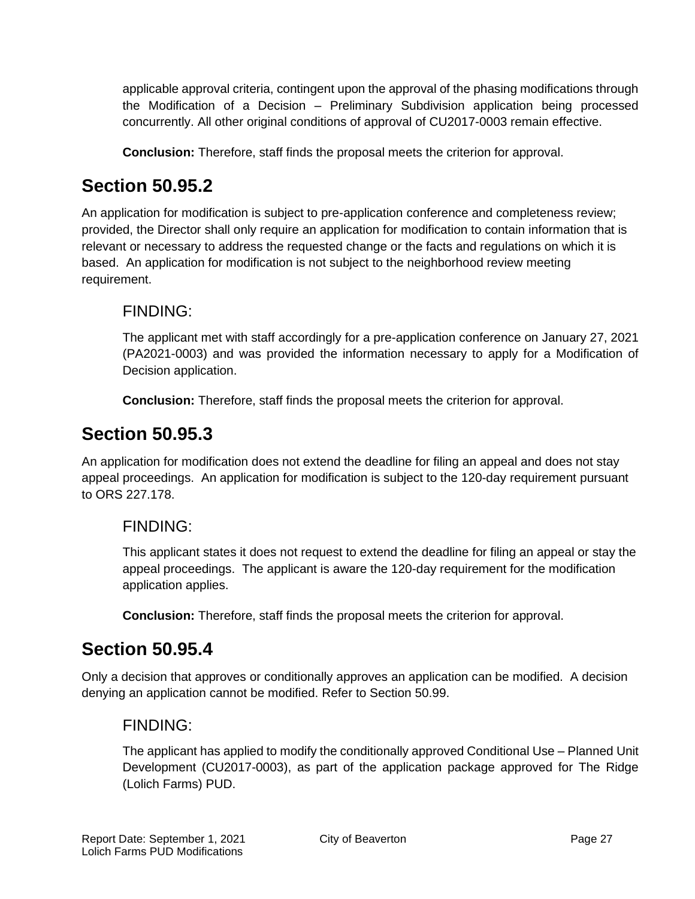applicable approval criteria, contingent upon the approval of the phasing modifications through the Modification of a Decision – Preliminary Subdivision application being processed concurrently. All other original conditions of approval of CU2017-0003 remain effective.

**Conclusion:** Therefore, staff finds the proposal meets the criterion for approval.

## **Section 50.95.2**

An application for modification is subject to pre-application conference and completeness review; provided, the Director shall only require an application for modification to contain information that is relevant or necessary to address the requested change or the facts and regulations on which it is based. An application for modification is not subject to the neighborhood review meeting requirement.

### FINDING:

The applicant met with staff accordingly for a pre-application conference on January 27, 2021 (PA2021-0003) and was provided the information necessary to apply for a Modification of Decision application.

**Conclusion:** Therefore, staff finds the proposal meets the criterion for approval.

## **Section 50.95.3**

An application for modification does not extend the deadline for filing an appeal and does not stay appeal proceedings. An application for modification is subject to the 120-day requirement pursuant to ORS 227.178.

### FINDING:

This applicant states it does not request to extend the deadline for filing an appeal or stay the appeal proceedings. The applicant is aware the 120-day requirement for the modification application applies.

**Conclusion:** Therefore, staff finds the proposal meets the criterion for approval.

## **Section 50.95.4**

Only a decision that approves or conditionally approves an application can be modified. A decision denying an application cannot be modified. Refer to Section 50.99.

### FINDING:

The applicant has applied to modify the conditionally approved Conditional Use – Planned Unit Development (CU2017-0003), as part of the application package approved for The Ridge (Lolich Farms) PUD.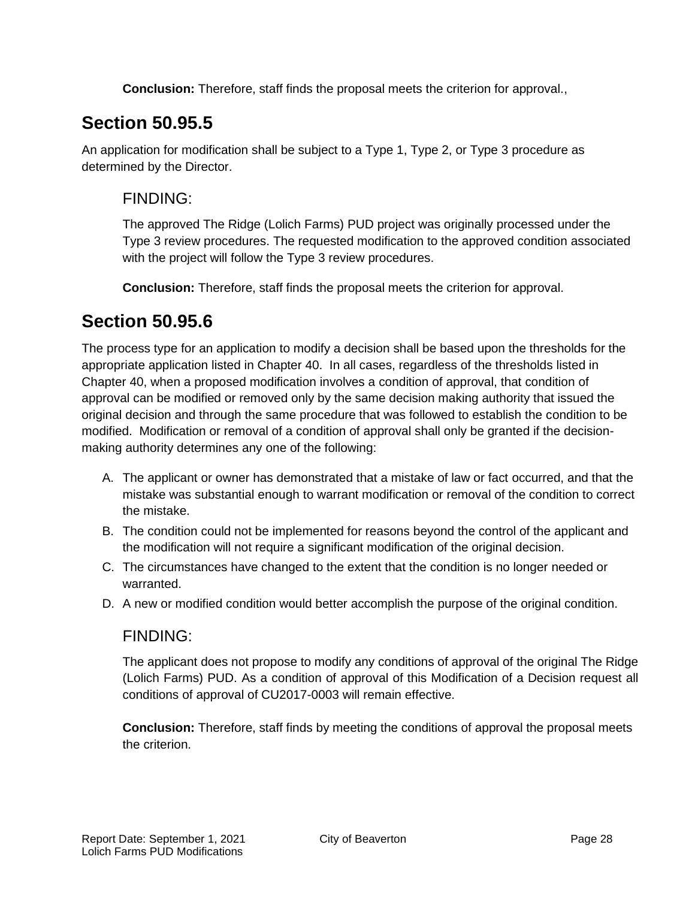**Conclusion:** Therefore, staff finds the proposal meets the criterion for approval.,

## **Section 50.95.5**

An application for modification shall be subject to a Type 1, Type 2, or Type 3 procedure as determined by the Director.

### FINDING:

The approved The Ridge (Lolich Farms) PUD project was originally processed under the Type 3 review procedures. The requested modification to the approved condition associated with the project will follow the Type 3 review procedures.

**Conclusion:** Therefore, staff finds the proposal meets the criterion for approval.

## **Section 50.95.6**

The process type for an application to modify a decision shall be based upon the thresholds for the appropriate application listed in Chapter 40. In all cases, regardless of the thresholds listed in Chapter 40, when a proposed modification involves a condition of approval, that condition of approval can be modified or removed only by the same decision making authority that issued the original decision and through the same procedure that was followed to establish the condition to be modified. Modification or removal of a condition of approval shall only be granted if the decisionmaking authority determines any one of the following:

- A. The applicant or owner has demonstrated that a mistake of law or fact occurred, and that the mistake was substantial enough to warrant modification or removal of the condition to correct the mistake.
- B. The condition could not be implemented for reasons beyond the control of the applicant and the modification will not require a significant modification of the original decision.
- C. The circumstances have changed to the extent that the condition is no longer needed or warranted.
- D. A new or modified condition would better accomplish the purpose of the original condition.

### FINDING:

The applicant does not propose to modify any conditions of approval of the original The Ridge (Lolich Farms) PUD. As a condition of approval of this Modification of a Decision request all conditions of approval of CU2017-0003 will remain effective.

**Conclusion:** Therefore, staff finds by meeting the conditions of approval the proposal meets the criterion.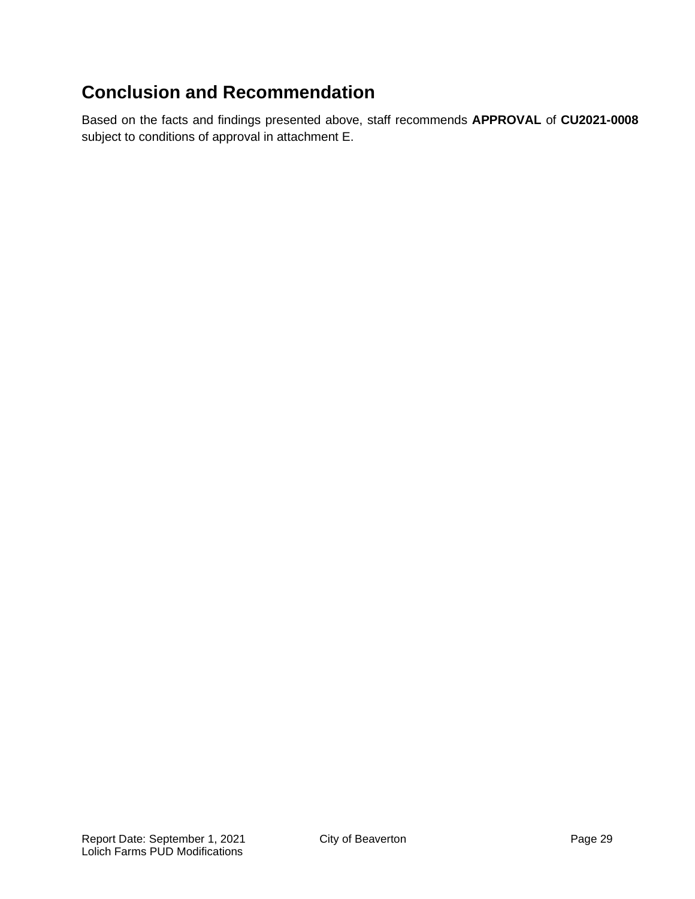## **Conclusion and Recommendation**

Based on the facts and findings presented above, staff recommends **APPROVAL** of **CU2021-0008** subject to conditions of approval in attachment E.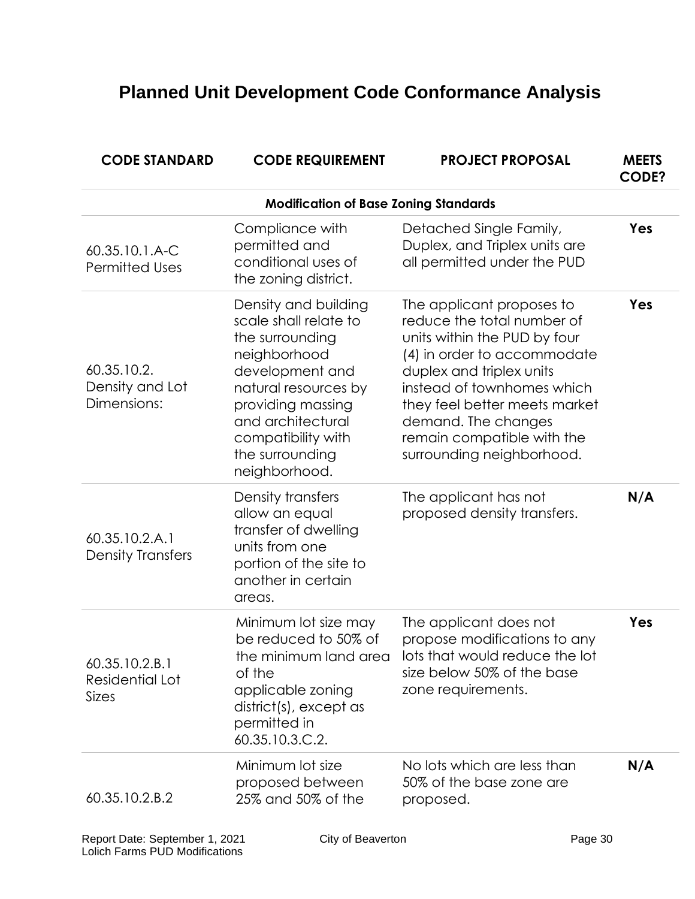# **Planned Unit Development Code Conformance Analysis**

| <b>CODE STANDARD</b>                              | <b>CODE REQUIREMENT</b>                                                                                                                                                                                                         | <b>PROJECT PROPOSAL</b>                                                                                                                                                                                                                                                                             | <b>MEETS</b><br><b>CODE?</b> |
|---------------------------------------------------|---------------------------------------------------------------------------------------------------------------------------------------------------------------------------------------------------------------------------------|-----------------------------------------------------------------------------------------------------------------------------------------------------------------------------------------------------------------------------------------------------------------------------------------------------|------------------------------|
|                                                   | <b>Modification of Base Zoning Standards</b>                                                                                                                                                                                    |                                                                                                                                                                                                                                                                                                     |                              |
| 60.35.10.1.A-C<br><b>Permitted Uses</b>           | Compliance with<br>permitted and<br>conditional uses of<br>the zoning district.                                                                                                                                                 | Detached Single Family,<br>Duplex, and Triplex units are<br>all permitted under the PUD                                                                                                                                                                                                             | Yes                          |
| 60.35.10.2.<br>Density and Lot<br>Dimensions:     | Density and building<br>scale shall relate to<br>the surrounding<br>neighborhood<br>development and<br>natural resources by<br>providing massing<br>and architectural<br>compatibility with<br>the surrounding<br>neighborhood. | The applicant proposes to<br>reduce the total number of<br>units within the PUD by four<br>(4) in order to accommodate<br>duplex and triplex units<br>instead of townhomes which<br>they feel better meets market<br>demand. The changes<br>remain compatible with the<br>surrounding neighborhood. | Yes                          |
| 60.35.10.2.A.1<br><b>Density Transfers</b>        | Density transfers<br>allow an equal<br>transfer of dwelling<br>units from one<br>portion of the site to<br>another in certain<br>areas.                                                                                         | The applicant has not<br>proposed density transfers.                                                                                                                                                                                                                                                | N/A                          |
| 60.35.10.2.B.1<br>Residential Lot<br><b>Sizes</b> | Minimum lot size may<br>be reduced to 50% of<br>the minimum land area<br>of the<br>applicable zoning<br>district(s), except as<br>permitted in<br>60.35.10.3.C.2.                                                               | The applicant does not<br>propose modifications to any<br>lots that would reduce the lot<br>size below 50% of the base<br>zone requirements.                                                                                                                                                        | Yes                          |
| 60.35.10.2.B.2                                    | Minimum lot size<br>proposed between<br>25% and 50% of the                                                                                                                                                                      | No lots which are less than<br>50% of the base zone are<br>proposed.                                                                                                                                                                                                                                | N/A                          |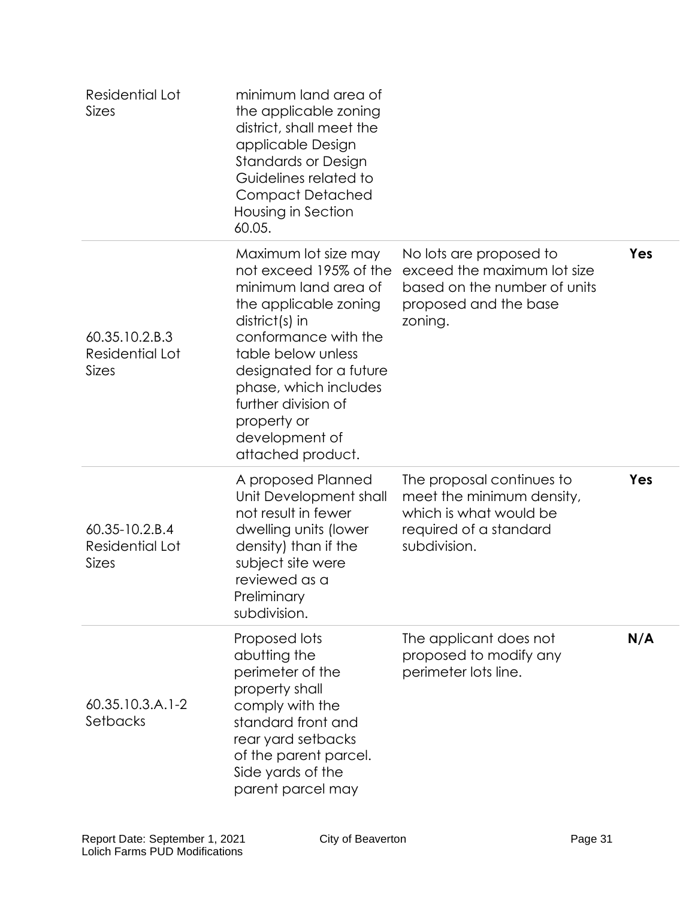| Residential Lot<br><b>Sizes</b>                   | minimum land area of<br>the applicable zoning<br>district, shall meet the<br>applicable Design<br><b>Standards or Design</b><br>Guidelines related to<br><b>Compact Detached</b><br>Housing in Section<br>60.05.                                                                                 |                                                                                                                            |     |
|---------------------------------------------------|--------------------------------------------------------------------------------------------------------------------------------------------------------------------------------------------------------------------------------------------------------------------------------------------------|----------------------------------------------------------------------------------------------------------------------------|-----|
| 60.35.10.2.B.3<br>Residential Lot<br><b>Sizes</b> | Maximum lot size may<br>not exceed 195% of the<br>minimum land area of<br>the applicable zoning<br>district(s) in<br>conformance with the<br>table below unless<br>designated for a future<br>phase, which includes<br>further division of<br>property or<br>development of<br>attached product. | No lots are proposed to<br>exceed the maximum lot size<br>based on the number of units<br>proposed and the base<br>zoning. | Yes |
| 60.35-10.2.B.4<br>Residential Lot<br>Sizes        | A proposed Planned<br>Unit Development shall<br>not result in fewer<br>dwelling units (lower<br>density) than if the<br>subject site were<br>reviewed as a<br>Preliminary<br>subdivision.                                                                                                        | The proposal continues to<br>meet the minimum density,<br>which is what would be<br>required of a standard<br>subdivision. | Yes |
| $60.35.10.3.A.1-2$<br>Setbacks                    | Proposed lots<br>abutting the<br>perimeter of the<br>property shall<br>comply with the<br>standard front and<br>rear yard setbacks<br>of the parent parcel.<br>Side yards of the<br>parent parcel may                                                                                            | The applicant does not<br>proposed to modify any<br>perimeter lots line.                                                   | N/A |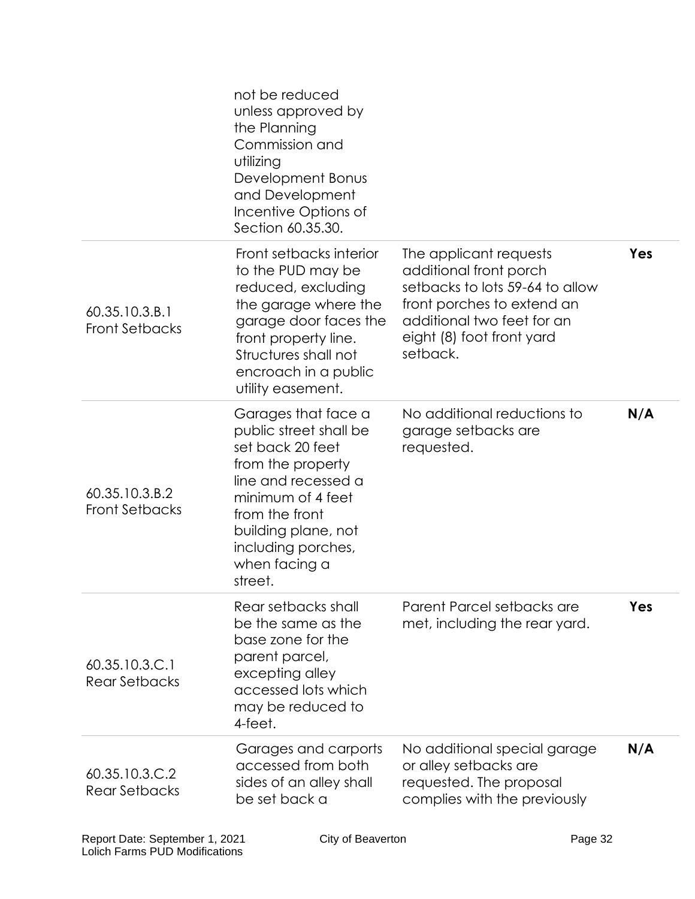|                                         | not be reduced<br>unless approved by<br>the Planning<br>Commission and<br>utilizing<br>Development Bonus<br>and Development<br>Incentive Options of<br>Section 60.35.30.                                                      |                                                                                                                                                                                          |     |
|-----------------------------------------|-------------------------------------------------------------------------------------------------------------------------------------------------------------------------------------------------------------------------------|------------------------------------------------------------------------------------------------------------------------------------------------------------------------------------------|-----|
| 60.35.10.3.B.1<br><b>Front Setbacks</b> | Front setbacks interior<br>to the PUD may be<br>reduced, excluding<br>the garage where the<br>garage door faces the<br>front property line.<br>Structures shall not<br>encroach in a public<br>utility easement.              | The applicant requests<br>additional front porch<br>setbacks to lots 59-64 to allow<br>front porches to extend an<br>additional two feet for an<br>eight (8) foot front yard<br>setback. | Yes |
| 60.35.10.3.B.2<br><b>Front Setbacks</b> | Garages that face a<br>public street shall be<br>set back 20 feet<br>from the property<br>line and recessed a<br>minimum of 4 feet<br>from the front<br>building plane, not<br>including porches,<br>when facing a<br>street. | No additional reductions to<br>garage setbacks are<br>requested.                                                                                                                         | N/A |
| 60.35.10.3.C.1<br><b>Rear Setbacks</b>  | Rear setbacks shall<br>be the same as the<br>base zone for the<br>parent parcel,<br>excepting alley<br>accessed lots which<br>may be reduced to<br>4-feet.                                                                    | Parent Parcel setbacks are<br>met, including the rear yard.                                                                                                                              | Yes |
| 60.35.10.3.C.2<br><b>Rear Setbacks</b>  | Garages and carports<br>accessed from both<br>sides of an alley shall<br>be set back a                                                                                                                                        | No additional special garage<br>or alley setbacks are<br>requested. The proposal<br>complies with the previously                                                                         | N/A |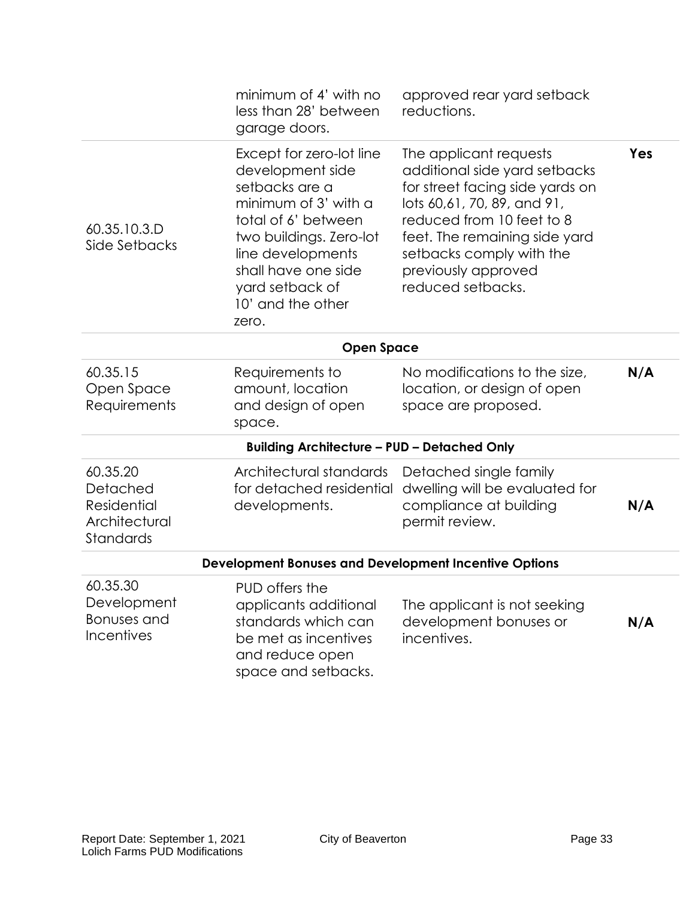|                                                                          | minimum of 4' with no<br>less than 28' between<br>garage doors.                                                                                                                                                                       | approved rear yard setback<br>reductions.                                                                                                                                                                                                                       |     |
|--------------------------------------------------------------------------|---------------------------------------------------------------------------------------------------------------------------------------------------------------------------------------------------------------------------------------|-----------------------------------------------------------------------------------------------------------------------------------------------------------------------------------------------------------------------------------------------------------------|-----|
| 60.35.10.3.D<br>Side Setbacks                                            | Except for zero-lot line<br>development side<br>setbacks are a<br>minimum of 3' with a<br>total of 6' between<br>two buildings. Zero-lot<br>line developments<br>shall have one side<br>yard setback of<br>10' and the other<br>zero. | The applicant requests<br>additional side yard setbacks<br>for street facing side yards on<br>lots 60,61, 70, 89, and 91,<br>reduced from 10 feet to 8<br>feet. The remaining side yard<br>setbacks comply with the<br>previously approved<br>reduced setbacks. | Yes |
|                                                                          | <b>Open Space</b>                                                                                                                                                                                                                     |                                                                                                                                                                                                                                                                 |     |
| 60.35.15<br>Open Space<br>Requirements                                   | Requirements to<br>amount, location<br>and design of open<br>space.                                                                                                                                                                   | No modifications to the size,<br>location, or design of open<br>space are proposed.                                                                                                                                                                             | N/A |
|                                                                          | <b>Building Architecture - PUD - Detached Only</b>                                                                                                                                                                                    |                                                                                                                                                                                                                                                                 |     |
| 60.35.20<br>Detached<br><b>Residential</b><br>Architectural<br>Standards | Architectural standards<br>for detached residential<br>developments.                                                                                                                                                                  | Detached single family<br>dwelling will be evaluated for<br>compliance at building<br>permit review.                                                                                                                                                            | N/A |
|                                                                          | <b>Development Bonuses and Development Incentive Options</b>                                                                                                                                                                          |                                                                                                                                                                                                                                                                 |     |
| 60.35.30<br>Development<br><b>Bonuses</b> and<br>Incentives              | PUD offers the<br>applicants additional<br>standards which can<br>be met as incentives<br>and reduce open<br>space and setbacks.                                                                                                      | The applicant is not seeking<br>development bonuses or<br>incentives.                                                                                                                                                                                           | N/A |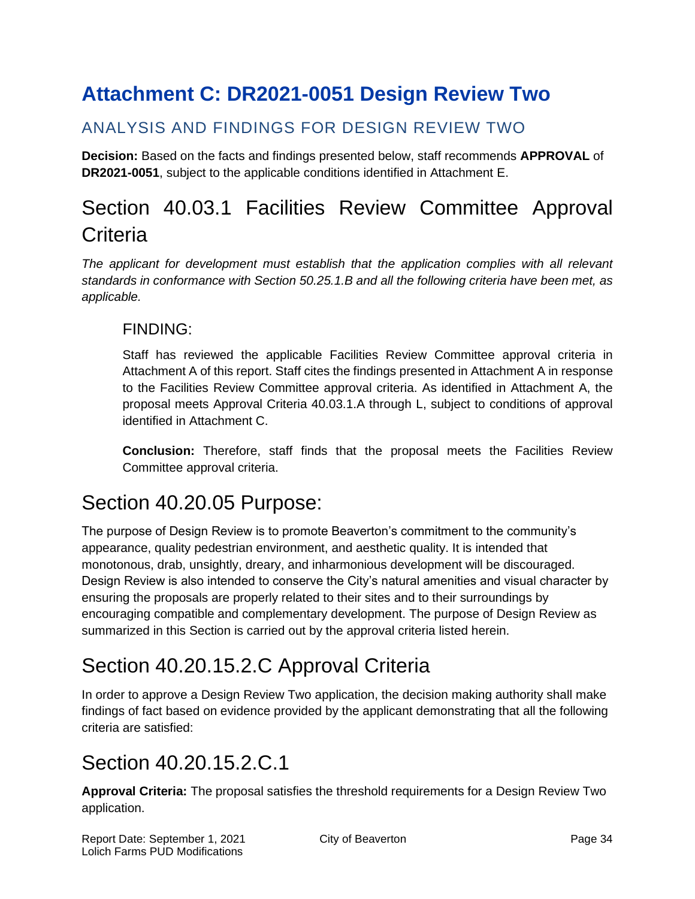# <span id="page-33-0"></span>**Attachment C: DR2021-0051 Design Review Two**

### ANALYSIS AND FINDINGS FOR DESIGN REVIEW TWO

**Decision:** Based on the facts and findings presented below, staff recommends **APPROVAL** of **DR2021-0051**, subject to the applicable conditions identified in Attachment E.

# Section 40.03.1 Facilities Review Committee Approval **Criteria**

*The applicant for development must establish that the application complies with all relevant standards in conformance with Section 50.25.1.B and all the following criteria have been met, as applicable.*

### FINDING:

Staff has reviewed the applicable Facilities Review Committee approval criteria in Attachment A of this report. Staff cites the findings presented in Attachment A in response to the Facilities Review Committee approval criteria. As identified in Attachment A, the proposal meets Approval Criteria 40.03.1.A through L, subject to conditions of approval identified in Attachment C.

**Conclusion:** Therefore, staff finds that the proposal meets the Facilities Review Committee approval criteria.

## Section 40.20.05 Purpose:

The purpose of Design Review is to promote Beaverton's commitment to the community's appearance, quality pedestrian environment, and aesthetic quality. It is intended that monotonous, drab, unsightly, dreary, and inharmonious development will be discouraged. Design Review is also intended to conserve the City's natural amenities and visual character by ensuring the proposals are properly related to their sites and to their surroundings by encouraging compatible and complementary development. The purpose of Design Review as summarized in this Section is carried out by the approval criteria listed herein.

# Section 40.20.15.2.C Approval Criteria

In order to approve a Design Review Two application, the decision making authority shall make findings of fact based on evidence provided by the applicant demonstrating that all the following criteria are satisfied:

## Section 40.20.15.2.C.1

**Approval Criteria:** The proposal satisfies the threshold requirements for a Design Review Two application.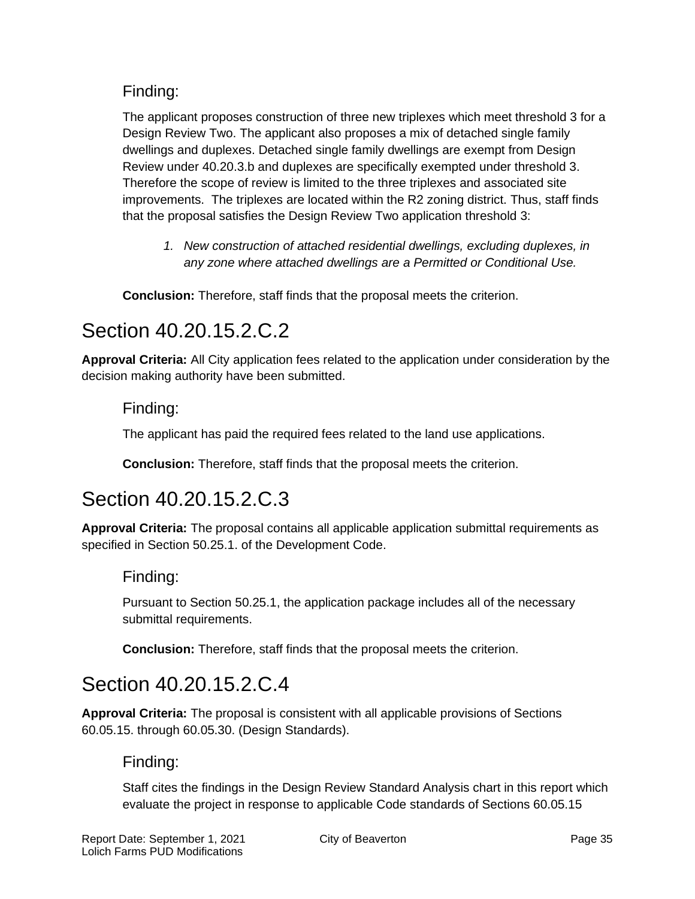### Finding:

The applicant proposes construction of three new triplexes which meet threshold 3 for a Design Review Two. The applicant also proposes a mix of detached single family dwellings and duplexes. Detached single family dwellings are exempt from Design Review under 40.20.3.b and duplexes are specifically exempted under threshold 3. Therefore the scope of review is limited to the three triplexes and associated site improvements. The triplexes are located within the R2 zoning district. Thus, staff finds that the proposal satisfies the Design Review Two application threshold 3:

*1. New construction of attached residential dwellings, excluding duplexes, in any zone where attached dwellings are a Permitted or Conditional Use.*

**Conclusion:** Therefore, staff finds that the proposal meets the criterion.

## Section 40.20.15.2.C.2

**Approval Criteria:** All City application fees related to the application under consideration by the decision making authority have been submitted.

### Finding:

The applicant has paid the required fees related to the land use applications.

**Conclusion:** Therefore, staff finds that the proposal meets the criterion.

## Section 40.20.15.2.C.3

**Approval Criteria:** The proposal contains all applicable application submittal requirements as specified in Section 50.25.1. of the Development Code.

### Finding:

Pursuant to Section 50.25.1, the application package includes all of the necessary submittal requirements.

**Conclusion:** Therefore, staff finds that the proposal meets the criterion.

## Section 40.20.15.2.C.4

**Approval Criteria:** The proposal is consistent with all applicable provisions of Sections 60.05.15. through 60.05.30. (Design Standards).

### Finding:

Staff cites the findings in the Design Review Standard Analysis chart in this report which evaluate the project in response to applicable Code standards of Sections 60.05.15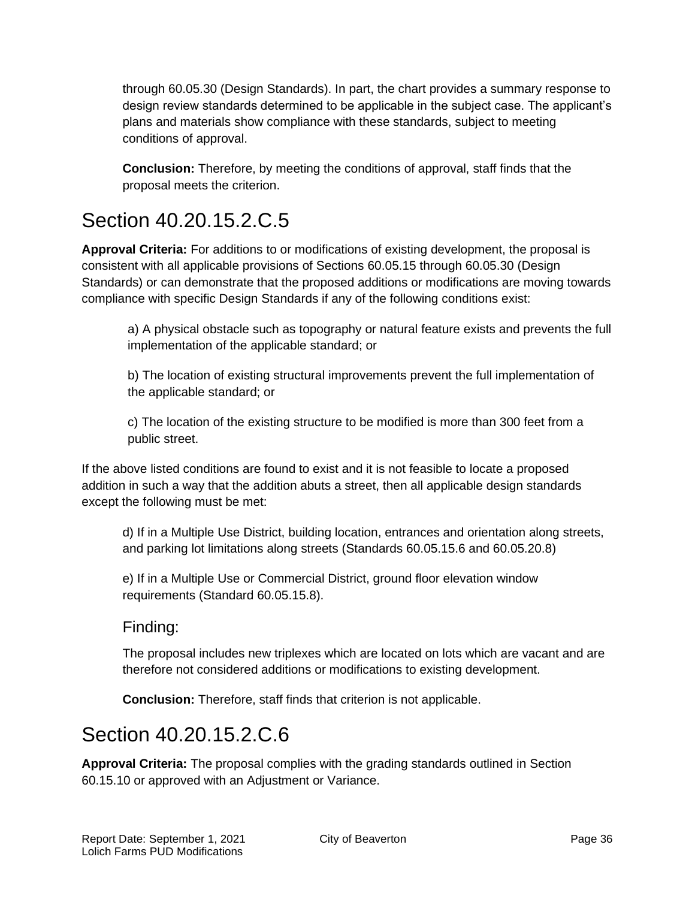through 60.05.30 (Design Standards). In part, the chart provides a summary response to design review standards determined to be applicable in the subject case. The applicant's plans and materials show compliance with these standards, subject to meeting conditions of approval.

**Conclusion:** Therefore, by meeting the conditions of approval, staff finds that the proposal meets the criterion.

# Section 40.20.15.2.C.5

**Approval Criteria:** For additions to or modifications of existing development, the proposal is consistent with all applicable provisions of Sections 60.05.15 through 60.05.30 (Design Standards) or can demonstrate that the proposed additions or modifications are moving towards compliance with specific Design Standards if any of the following conditions exist:

a) A physical obstacle such as topography or natural feature exists and prevents the full implementation of the applicable standard; or

b) The location of existing structural improvements prevent the full implementation of the applicable standard; or

c) The location of the existing structure to be modified is more than 300 feet from a public street.

If the above listed conditions are found to exist and it is not feasible to locate a proposed addition in such a way that the addition abuts a street, then all applicable design standards except the following must be met:

d) If in a Multiple Use District, building location, entrances and orientation along streets, and parking lot limitations along streets (Standards 60.05.15.6 and 60.05.20.8)

e) If in a Multiple Use or Commercial District, ground floor elevation window requirements (Standard 60.05.15.8).

Finding:

The proposal includes new triplexes which are located on lots which are vacant and are therefore not considered additions or modifications to existing development.

**Conclusion:** Therefore, staff finds that criterion is not applicable.

# Section 40.20.15.2.C.6

**Approval Criteria:** The proposal complies with the grading standards outlined in Section 60.15.10 or approved with an Adjustment or Variance.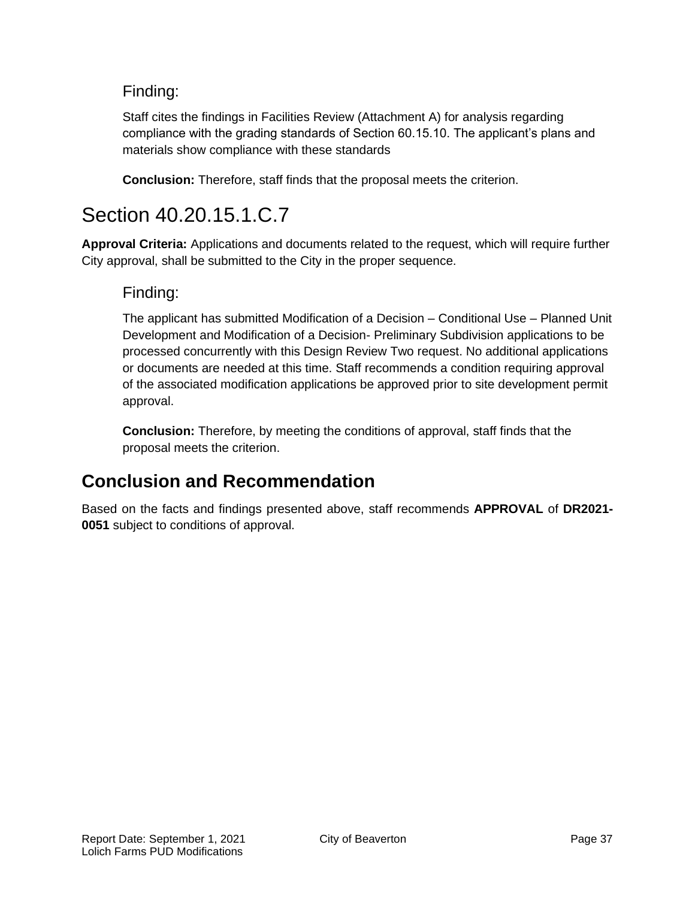### Finding:

Staff cites the findings in Facilities Review (Attachment A) for analysis regarding compliance with the grading standards of Section 60.15.10. The applicant's plans and materials show compliance with these standards

**Conclusion:** Therefore, staff finds that the proposal meets the criterion.

## Section 40.20.15.1.C.7

**Approval Criteria:** Applications and documents related to the request, which will require further City approval, shall be submitted to the City in the proper sequence.

### Finding:

The applicant has submitted Modification of a Decision – Conditional Use – Planned Unit Development and Modification of a Decision- Preliminary Subdivision applications to be processed concurrently with this Design Review Two request. No additional applications or documents are needed at this time. Staff recommends a condition requiring approval of the associated modification applications be approved prior to site development permit approval.

**Conclusion:** Therefore, by meeting the conditions of approval, staff finds that the proposal meets the criterion.

## **Conclusion and Recommendation**

Based on the facts and findings presented above, staff recommends **APPROVAL** of **DR2021- 0051** subject to conditions of approval.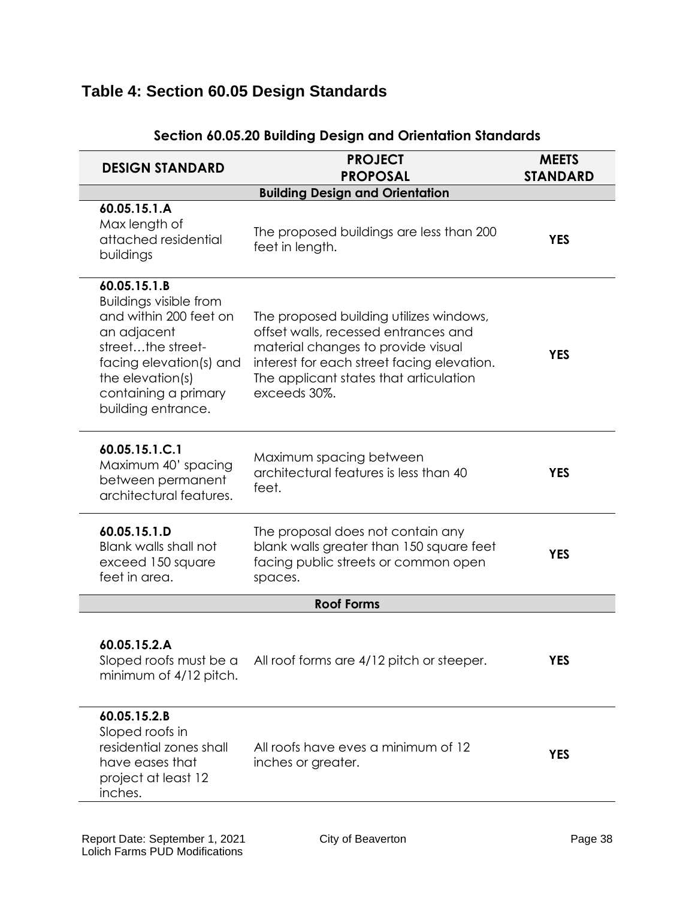## **Table 4: Section 60.05 Design Standards**

| <b>DESIGN STANDARD</b>                                                                                                                                                                                   | <b>PROJECT</b><br><b>PROPOSAL</b>                                                                                                                                                                                             | <b>MEETS</b><br><b>STANDARD</b> |
|----------------------------------------------------------------------------------------------------------------------------------------------------------------------------------------------------------|-------------------------------------------------------------------------------------------------------------------------------------------------------------------------------------------------------------------------------|---------------------------------|
|                                                                                                                                                                                                          | <b>Building Design and Orientation</b>                                                                                                                                                                                        |                                 |
| 60.05.15.1.A<br>Max length of<br>attached residential<br>buildings                                                                                                                                       | The proposed buildings are less than 200<br>feet in length.                                                                                                                                                                   | <b>YES</b>                      |
| 60.05.15.1.B<br><b>Buildings visible from</b><br>and within 200 feet on<br>an adjacent<br>streetthe street-<br>facing elevation(s) and<br>the elevation(s)<br>containing a primary<br>building entrance. | The proposed building utilizes windows,<br>offset walls, recessed entrances and<br>material changes to provide visual<br>interest for each street facing elevation.<br>The applicant states that articulation<br>exceeds 30%. | <b>YES</b>                      |
| 60.05.15.1.C.1<br>Maximum 40' spacing<br>between permanent<br>architectural features.                                                                                                                    | Maximum spacing between<br>architectural features is less than 40<br>feet.                                                                                                                                                    | <b>YES</b>                      |
| 60.05.15.1.D<br>Blank walls shall not<br>exceed 150 square<br>feet in area.                                                                                                                              | The proposal does not contain any<br>blank walls greater than 150 square feet<br>facing public streets or common open<br>spaces.                                                                                              | <b>YES</b>                      |
|                                                                                                                                                                                                          | <b>Roof Forms</b>                                                                                                                                                                                                             |                                 |
| 60.05.15.2.A<br>Sloped roofs must be a<br>minimum of 4/12 pitch.                                                                                                                                         | All roof forms are 4/12 pitch or steeper.                                                                                                                                                                                     | YES                             |
| 60.05.15.2.B<br>Sloped roofs in<br>residential zones shall<br>have eases that<br>project at least 12<br>inches.                                                                                          | All roofs have eves a minimum of 12<br>inches or greater.                                                                                                                                                                     | <b>YES</b>                      |

#### **Section 60.05.20 Building Design and Orientation Standards**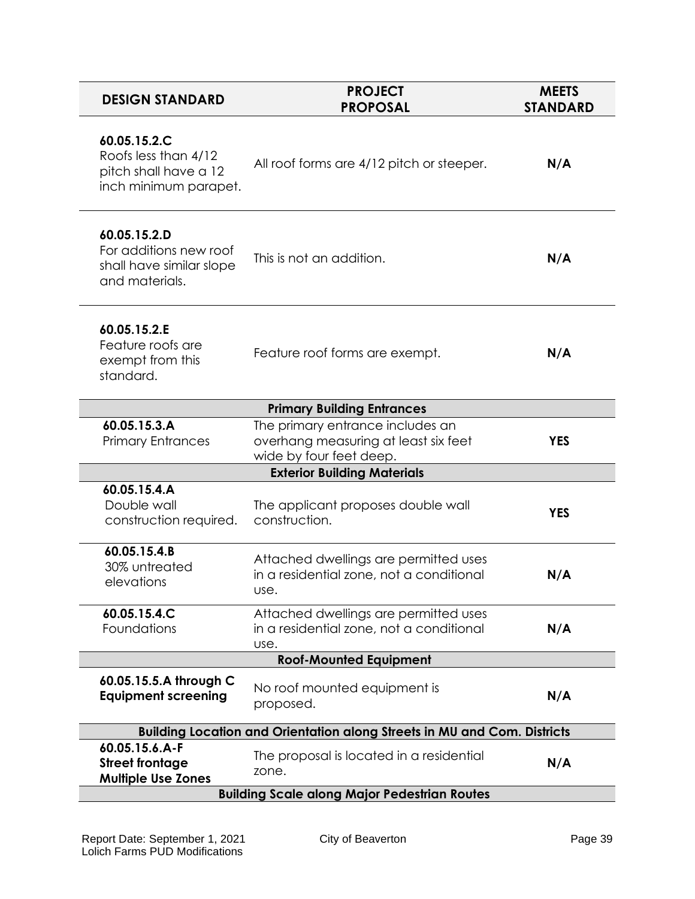| <b>DESIGN STANDARD</b>                                                                 | <b>PROJECT</b><br><b>PROPOSAL</b>                                                                   | <b>MEETS</b><br><b>STANDARD</b> |  |
|----------------------------------------------------------------------------------------|-----------------------------------------------------------------------------------------------------|---------------------------------|--|
| 60.05.15.2.C<br>Roofs less than 4/12<br>pitch shall have a 12<br>inch minimum parapet. | All roof forms are 4/12 pitch or steeper.                                                           | N/A                             |  |
| 60.05.15.2.D<br>For additions new roof<br>shall have similar slope<br>and materials.   | This is not an addition.                                                                            | N/A                             |  |
| 60.05.15.2.E<br>Feature roofs are<br>exempt from this<br>standard.                     | Feature roof forms are exempt.                                                                      | N/A                             |  |
|                                                                                        | <b>Primary Building Entrances</b>                                                                   |                                 |  |
| 60.05.15.3.A<br><b>Primary Entrances</b>                                               | The primary entrance includes an<br>overhang measuring at least six feet<br>wide by four feet deep. | <b>YES</b>                      |  |
| <b>Exterior Building Materials</b>                                                     |                                                                                                     |                                 |  |
| 60.05.15.4.A<br>Double wall<br>construction required.                                  | The applicant proposes double wall<br>construction.                                                 | <b>YES</b>                      |  |
| 60.05.15.4.B<br>30% untreated<br>elevations                                            | Attached dwellings are permitted uses<br>in a residential zone, not a conditional<br>use.           | N/A                             |  |
| 60.05.15.4.C<br>Foundations                                                            | Attached dwellings are permitted uses<br>in a residential zone, not a conditional<br>use.           | N/A                             |  |
| <b>Roof-Mounted Equipment</b>                                                          |                                                                                                     |                                 |  |
| 60.05.15.5.A through C<br><b>Equipment screening</b>                                   | No roof mounted equipment is<br>proposed.                                                           | N/A                             |  |
|                                                                                        | <b>Building Location and Orientation along Streets in MU and Com. Districts</b>                     |                                 |  |
| 60.05.15.6.A-F<br><b>Street frontage</b><br><b>Multiple Use Zones</b>                  | The proposal is located in a residential<br>zone.                                                   | N/A                             |  |
| <b>Building Scale along Major Pedestrian Routes</b>                                    |                                                                                                     |                                 |  |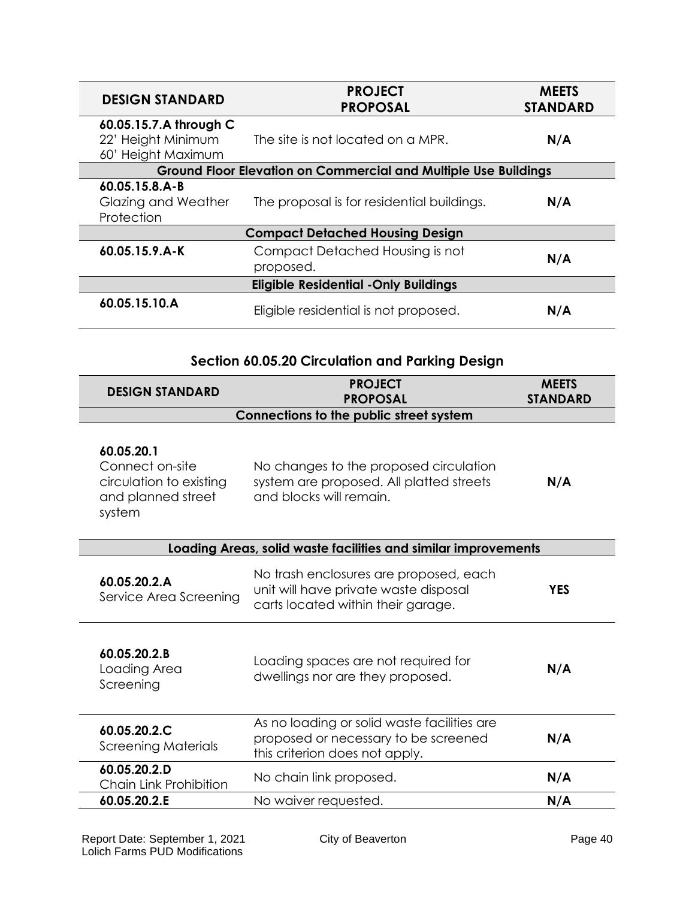| <b>DESIGN STANDARD</b>                                             | <b>PROJECT</b><br><b>PROPOSAL</b>                                      | <b>MEETS</b><br><b>STANDARD</b> |  |
|--------------------------------------------------------------------|------------------------------------------------------------------------|---------------------------------|--|
| 60.05.15.7.A through C<br>22' Height Minimum<br>60' Height Maximum | The site is not located on a MPR.                                      | N/A                             |  |
|                                                                    | <b>Ground Floor Elevation on Commercial and Multiple Use Buildings</b> |                                 |  |
| 60.05.15.8.A-B<br>Glazing and Weather<br>Protection                | The proposal is for residential buildings.                             | N/A                             |  |
| <b>Compact Detached Housing Design</b>                             |                                                                        |                                 |  |
| 60.05.15.9.A-K                                                     | Compact Detached Housing is not<br>proposed.                           | N/A                             |  |
|                                                                    | <b>Eligible Residential - Only Buildings</b>                           |                                 |  |
| 60.05.15.10.A                                                      | Eligible residential is not proposed.                                  | N/A                             |  |

### **Section 60.05.20 Circulation and Parking Design**

| <b>DESIGN STANDARD</b>                                                                   | <b>PROJECT</b><br><b>PROPOSAL</b>                                                                                     | <b>MEETS</b><br><b>STANDARD</b> |
|------------------------------------------------------------------------------------------|-----------------------------------------------------------------------------------------------------------------------|---------------------------------|
|                                                                                          | Connections to the public street system                                                                               |                                 |
| 60.05.20.1<br>Connect on-site<br>circulation to existing<br>and planned street<br>system | No changes to the proposed circulation<br>system are proposed. All platted streets<br>and blocks will remain.         | N/A                             |
|                                                                                          | Loading Areas, solid waste facilities and similar improvements                                                        |                                 |
| 60.05.20.2.A<br>Service Area Screening                                                   | No trash enclosures are proposed, each<br>unit will have private waste disposal<br>carts located within their garage. | <b>YES</b>                      |
| 60.05.20.2.B<br>Loading Area<br>Screening                                                | Loading spaces are not required for<br>dwellings nor are they proposed.                                               | N/A                             |
| 60.05.20.2.C<br>Screening Materials                                                      | As no loading or solid waste facilities are<br>proposed or necessary to be screened<br>this criterion does not apply. | N/A                             |
| 60.05.20.2.D<br>Chain Link Prohibition                                                   | No chain link proposed.                                                                                               | N/A                             |
| 60.05.20.2.E                                                                             | No waiver requested.                                                                                                  | N/A                             |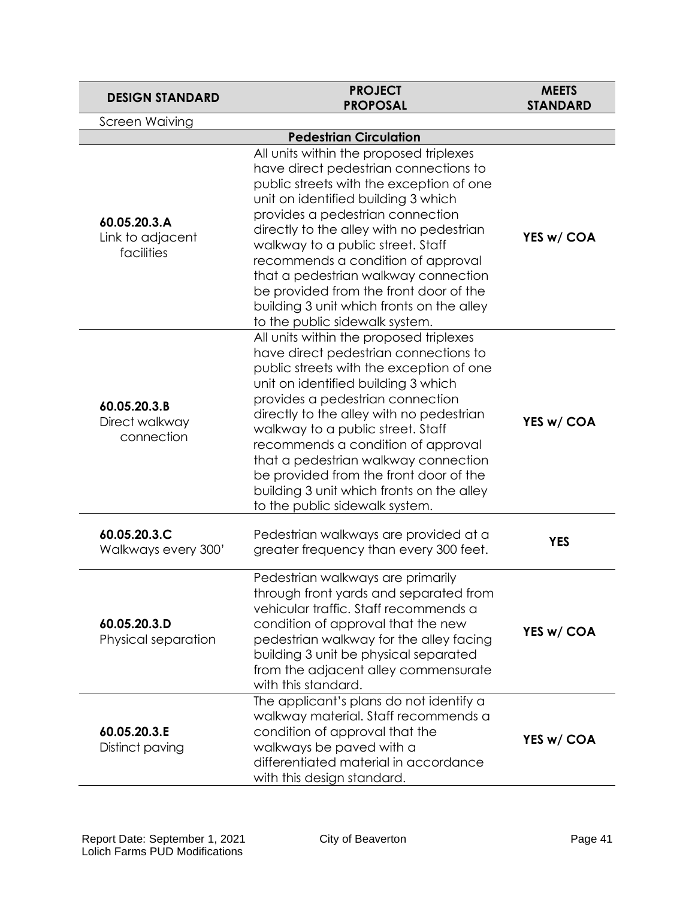| <b>DESIGN STANDARD</b>                         | <b>PROJECT</b><br><b>PROPOSAL</b>                                                                                                                                                                                                                                                                                                                                                                                                                                                               | <b>MEETS</b><br><b>STANDARD</b> |
|------------------------------------------------|-------------------------------------------------------------------------------------------------------------------------------------------------------------------------------------------------------------------------------------------------------------------------------------------------------------------------------------------------------------------------------------------------------------------------------------------------------------------------------------------------|---------------------------------|
| <b>Screen Waiving</b>                          |                                                                                                                                                                                                                                                                                                                                                                                                                                                                                                 |                                 |
|                                                | <b>Pedestrian Circulation</b>                                                                                                                                                                                                                                                                                                                                                                                                                                                                   |                                 |
| 60.05.20.3.A<br>Link to adjacent<br>facilities | All units within the proposed triplexes<br>have direct pedestrian connections to<br>public streets with the exception of one<br>unit on identified building 3 which<br>provides a pedestrian connection<br>directly to the alley with no pedestrian<br>walkway to a public street. Staff<br>recommends a condition of approval<br>that a pedestrian walkway connection<br>be provided from the front door of the<br>building 3 unit which fronts on the alley<br>to the public sidewalk system. | YES w/ COA                      |
| 60.05.20.3.B<br>Direct walkway<br>connection   | All units within the proposed triplexes<br>have direct pedestrian connections to<br>public streets with the exception of one<br>unit on identified building 3 which<br>provides a pedestrian connection<br>directly to the alley with no pedestrian<br>walkway to a public street. Staff<br>recommends a condition of approval<br>that a pedestrian walkway connection<br>be provided from the front door of the<br>building 3 unit which fronts on the alley<br>to the public sidewalk system. | YES w/ COA                      |
| 60.05.20.3.C<br>Walkways every 300'            | Pedestrian walkways are provided at a<br>greater frequency than every 300 feet.                                                                                                                                                                                                                                                                                                                                                                                                                 | <b>YES</b>                      |
| 60.05.20.3.D<br>Physical separation            | Pedestrian walkways are primarily<br>through front yards and separated from<br>vehicular traffic. Staff recommends a<br>condition of approval that the new<br>pedestrian walkway for the alley facing<br>building 3 unit be physical separated<br>from the adjacent alley commensurate<br>with this standard.                                                                                                                                                                                   | YES w/ COA                      |
| 60.05.20.3.E<br>Distinct paving                | The applicant's plans do not identify a<br>walkway material. Staff recommends a<br>condition of approval that the<br>walkways be paved with a<br>differentiated material in accordance<br>with this design standard.                                                                                                                                                                                                                                                                            | YES w/ COA                      |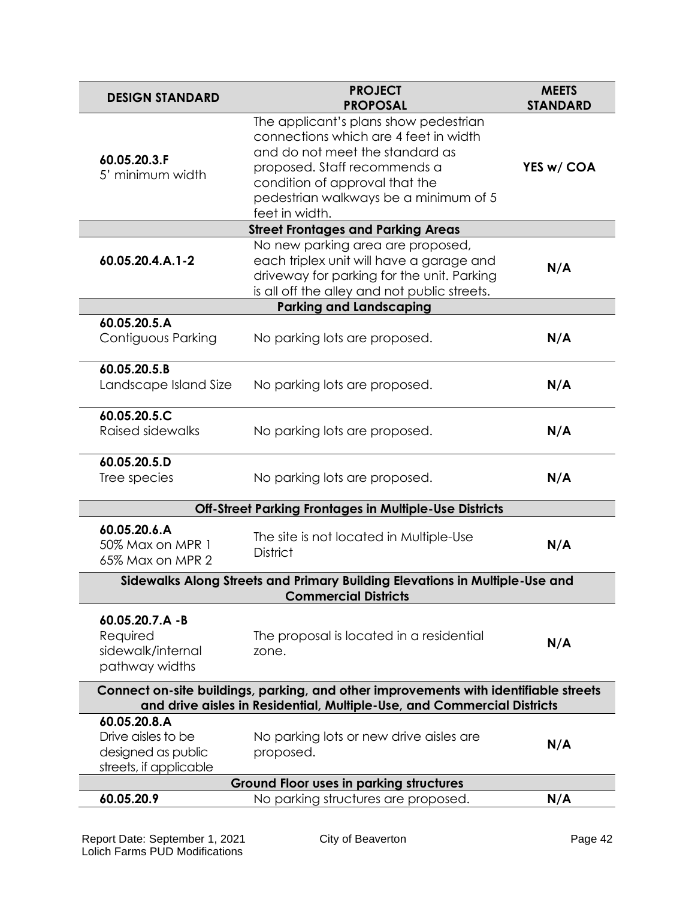| <b>DESIGN STANDARD</b>                                                                                                                                          | <b>PROJECT</b><br><b>PROPOSAL</b>                                                                                                                                                                                                              | <b>MEETS</b><br><b>STANDARD</b> |  |
|-----------------------------------------------------------------------------------------------------------------------------------------------------------------|------------------------------------------------------------------------------------------------------------------------------------------------------------------------------------------------------------------------------------------------|---------------------------------|--|
| 60.05.20.3.F<br>5' minimum width                                                                                                                                | The applicant's plans show pedestrian<br>connections which are 4 feet in width<br>and do not meet the standard as<br>proposed. Staff recommends a<br>condition of approval that the<br>pedestrian walkways be a minimum of 5<br>feet in width. | YES w/ COA                      |  |
|                                                                                                                                                                 | <b>Street Frontages and Parking Areas</b>                                                                                                                                                                                                      |                                 |  |
| 60.05.20.4.A.1-2                                                                                                                                                | No new parking area are proposed,<br>each triplex unit will have a garage and<br>driveway for parking for the unit. Parking<br>is all off the alley and not public streets.                                                                    | N/A                             |  |
|                                                                                                                                                                 | <b>Parking and Landscaping</b>                                                                                                                                                                                                                 |                                 |  |
| 60.05.20.5.A<br>Contiguous Parking                                                                                                                              | No parking lots are proposed.                                                                                                                                                                                                                  | N/A                             |  |
| 60.05.20.5.B<br>Landscape Island Size                                                                                                                           | No parking lots are proposed.                                                                                                                                                                                                                  | N/A                             |  |
| 60.05.20.5.C<br><b>Raised sidewalks</b>                                                                                                                         | No parking lots are proposed.                                                                                                                                                                                                                  | N/A                             |  |
| 60.05.20.5.D<br>Tree species                                                                                                                                    | No parking lots are proposed.                                                                                                                                                                                                                  | N/A                             |  |
| Off-Street Parking Frontages in Multiple-Use Districts                                                                                                          |                                                                                                                                                                                                                                                |                                 |  |
| 60.05.20.6.A<br>50% Max on MPR 1<br>65% Max on MPR 2                                                                                                            | The site is not located in Multiple-Use<br><b>District</b>                                                                                                                                                                                     | N/A                             |  |
|                                                                                                                                                                 | Sidewalks Along Streets and Primary Building Elevations in Multiple-Use and<br><b>Commercial Districts</b>                                                                                                                                     |                                 |  |
| 60.05.20.7.A -B<br>Required<br>sidewalk/internal<br>pathway widths                                                                                              | The proposal is located in a residential<br>zone.                                                                                                                                                                                              | N/A                             |  |
| Connect on-site buildings, parking, and other improvements with identifiable streets<br>and drive aisles in Residential, Multiple-Use, and Commercial Districts |                                                                                                                                                                                                                                                |                                 |  |
| 60.05.20.8.A<br>Drive aisles to be<br>designed as public<br>streets, if applicable                                                                              | No parking lots or new drive aisles are<br>proposed.                                                                                                                                                                                           | N/A                             |  |
|                                                                                                                                                                 | <b>Ground Floor uses in parking structures</b>                                                                                                                                                                                                 |                                 |  |
| 60.05.20.9                                                                                                                                                      | No parking structures are proposed.                                                                                                                                                                                                            | N/A                             |  |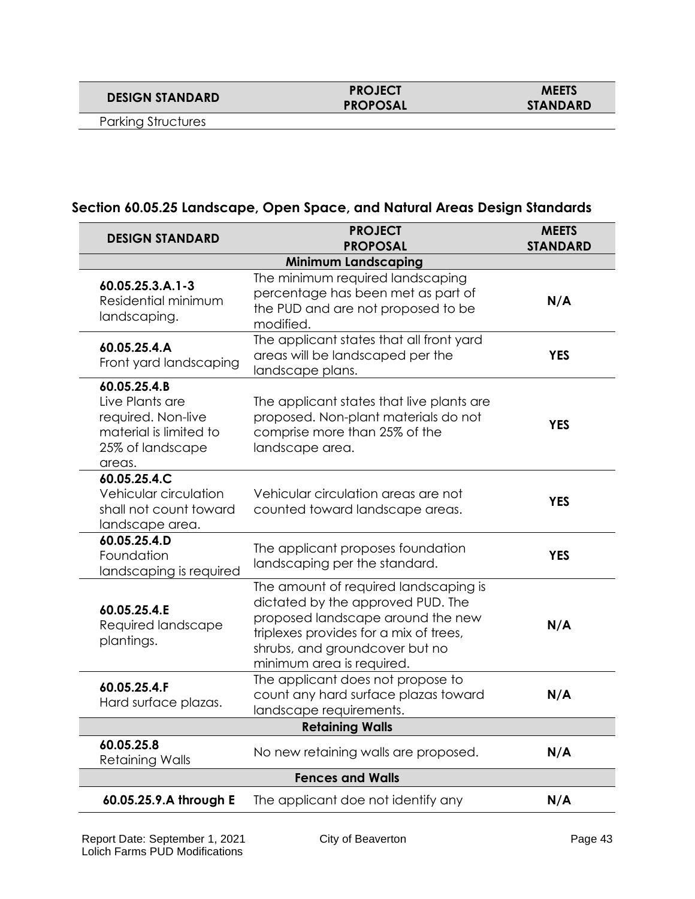**DESIGN STANDARD PROJECT**

# **PROPOSAL**

Parking Structures

### **Section 60.05.25 Landscape, Open Space, and Natural Areas Design Standards**

| <b>DESIGN STANDARD</b>                                                                                           | <b>PROJECT</b><br><b>PROPOSAL</b>                                                                                                                                                                                        | <b>MEETS</b><br><b>STANDARD</b> |  |
|------------------------------------------------------------------------------------------------------------------|--------------------------------------------------------------------------------------------------------------------------------------------------------------------------------------------------------------------------|---------------------------------|--|
|                                                                                                                  | <b>Minimum Landscaping</b>                                                                                                                                                                                               |                                 |  |
| 60.05.25.3.A.1-3<br>Residential minimum<br>landscaping.                                                          | The minimum required landscaping<br>percentage has been met as part of<br>the PUD and are not proposed to be<br>modified.                                                                                                | N/A                             |  |
| 60.05.25.4.A<br>Front yard landscaping                                                                           | The applicant states that all front yard<br>areas will be landscaped per the<br>landscape plans.                                                                                                                         | <b>YES</b>                      |  |
| $60.05.25.4.$ B<br>Live Plants are<br>required. Non-live<br>material is limited to<br>25% of landscape<br>areas. | The applicant states that live plants are<br>proposed. Non-plant materials do not<br>comprise more than 25% of the<br>landscape area.                                                                                    | <b>YES</b>                      |  |
| 60.05.25.4.C<br>Vehicular circulation<br>shall not count toward<br>landscape area.                               | Vehicular circulation areas are not<br>counted toward landscape areas.                                                                                                                                                   | <b>YES</b>                      |  |
| 60.05.25.4.D<br>Foundation<br>landscaping is required                                                            | The applicant proposes foundation<br>landscaping per the standard.                                                                                                                                                       | <b>YES</b>                      |  |
| 60.05.25.4.E<br>Required landscape<br>plantings.                                                                 | The amount of required landscaping is<br>dictated by the approved PUD. The<br>proposed landscape around the new<br>triplexes provides for a mix of trees,<br>shrubs, and groundcover but no<br>minimum area is required. | N/A                             |  |
| 60.05.25.4.F<br>Hard surface plazas.                                                                             | The applicant does not propose to<br>count any hard surface plazas toward<br>landscape requirements.                                                                                                                     | N/A                             |  |
| <b>Retaining Walls</b>                                                                                           |                                                                                                                                                                                                                          |                                 |  |
| 60.05.25.8<br><b>Retaining Walls</b>                                                                             | No new retaining walls are proposed.                                                                                                                                                                                     | N/A                             |  |
| <b>Fences and Walls</b>                                                                                          |                                                                                                                                                                                                                          |                                 |  |
| 60.05.25.9.A through E                                                                                           | The applicant doe not identify any                                                                                                                                                                                       | N/A                             |  |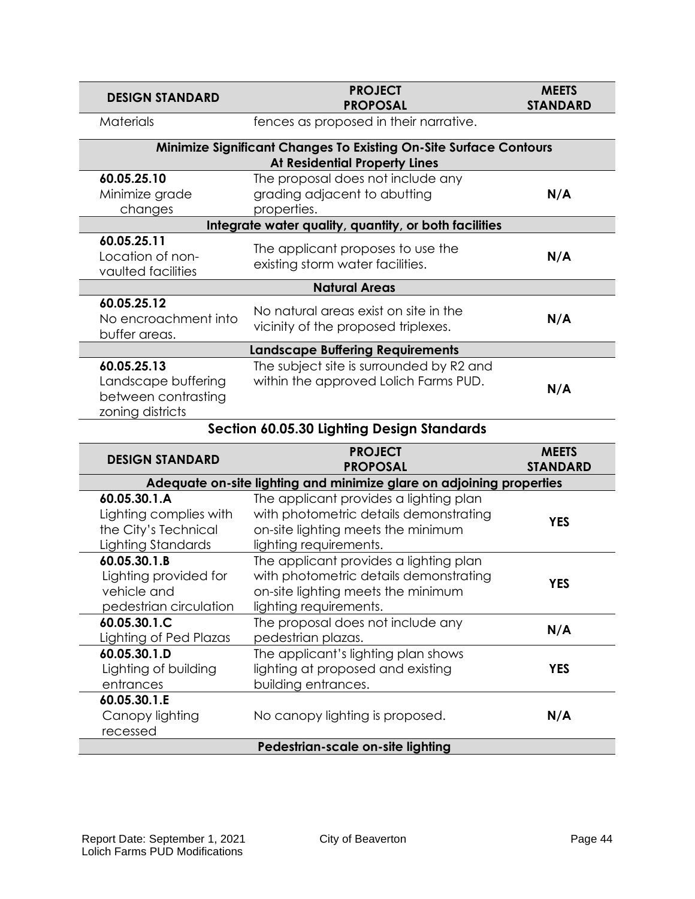| <b>DESIGN STANDARD</b>                                                                                           | <b>PROJECT</b><br><b>PROPOSAL</b>                                                 | <b>MEETS</b><br><b>STANDARD</b> |  |  |
|------------------------------------------------------------------------------------------------------------------|-----------------------------------------------------------------------------------|---------------------------------|--|--|
| <b>Materials</b>                                                                                                 | fences as proposed in their narrative.                                            |                                 |  |  |
| <b>Minimize Significant Changes To Existing On-Site Surface Contours</b><br><b>At Residential Property Lines</b> |                                                                                   |                                 |  |  |
| 60.05.25.10<br>Minimize grade<br>changes                                                                         | The proposal does not include any<br>grading adjacent to abutting<br>properties.  | N/A                             |  |  |
|                                                                                                                  | Integrate water quality, quantity, or both facilities                             |                                 |  |  |
| 60.05.25.11<br>Location of non-<br>vaulted facilities                                                            | The applicant proposes to use the<br>existing storm water facilities.             | N/A                             |  |  |
|                                                                                                                  | <b>Natural Areas</b>                                                              |                                 |  |  |
| 60.05.25.12<br>No encroachment into<br>buffer areas.                                                             | No natural areas exist on site in the<br>vicinity of the proposed triplexes.      | N/A                             |  |  |
| <b>Landscape Buffering Requirements</b>                                                                          |                                                                                   |                                 |  |  |
| 60.05.25.13<br>Landscape buffering<br>between contrasting<br>zoning districts                                    | The subject site is surrounded by R2 and<br>within the approved Lolich Farms PUD. | N/A                             |  |  |

### **Section 60.05.30 Lighting Design Standards**

| <b>DESIGN STANDARD</b>                                                               | <b>PROJECT</b><br><b>PROPOSAL</b>                                                                                                                | <b>MEETS</b><br><b>STANDARD</b> |  |
|--------------------------------------------------------------------------------------|--------------------------------------------------------------------------------------------------------------------------------------------------|---------------------------------|--|
| Adequate on-site lighting and minimize glare on adjoining properties                 |                                                                                                                                                  |                                 |  |
| 60.05.30.1.A<br>Lighting complies with<br>the City's Technical<br>Lighting Standards | The applicant provides a lighting plan<br>with photometric details demonstrating<br>on-site lighting meets the minimum<br>lighting requirements. | <b>YES</b>                      |  |
| 60.05.30.1.B<br>Lighting provided for<br>vehicle and<br>pedestrian circulation       | The applicant provides a lighting plan<br>with photometric details demonstrating<br>on-site lighting meets the minimum<br>lighting requirements. | <b>YES</b>                      |  |
| 60.05.30.1.C<br>Lighting of Ped Plazas                                               | The proposal does not include any<br>pedestrian plazas.                                                                                          | N/A                             |  |
| 60.05.30.1.D<br>Lighting of building<br>entrances                                    | The applicant's lighting plan shows<br>lighting at proposed and existing<br>building entrances.                                                  | YES                             |  |
| 60.05.30.1.E<br>Canopy lighting<br>recessed                                          | No canopy lighting is proposed.                                                                                                                  | N/A                             |  |
| Pedestrian-scale on-site lighting                                                    |                                                                                                                                                  |                                 |  |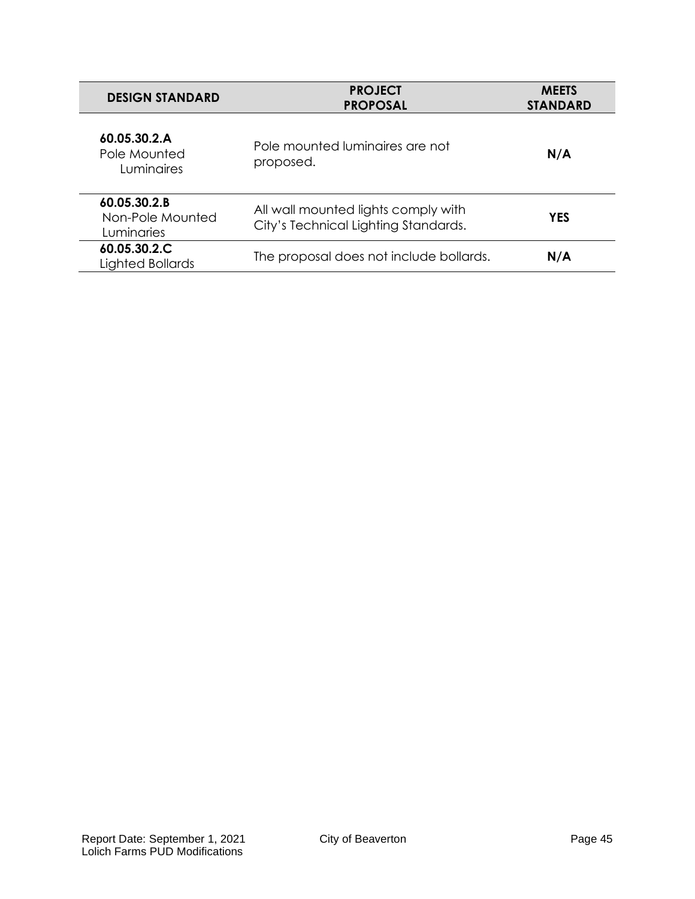| <b>DESIGN STANDARD</b>                            | <b>PROJECT</b><br><b>PROPOSAL</b>                                           | <b>MEETS</b><br><b>STANDARD</b> |  |
|---------------------------------------------------|-----------------------------------------------------------------------------|---------------------------------|--|
| 60.05.30.2.A<br>Pole Mounted<br><b>Luminaires</b> | Pole mounted luminaires are not<br>proposed.                                | N/A                             |  |
| 60.05.30.2.B<br>Non-Pole Mounted<br>Luminaries    | All wall mounted lights comply with<br>City's Technical Lighting Standards. | <b>YES</b>                      |  |
| 60.05.30.2.C<br>Lighted Bollards                  | The proposal does not include bollards.                                     | N/A                             |  |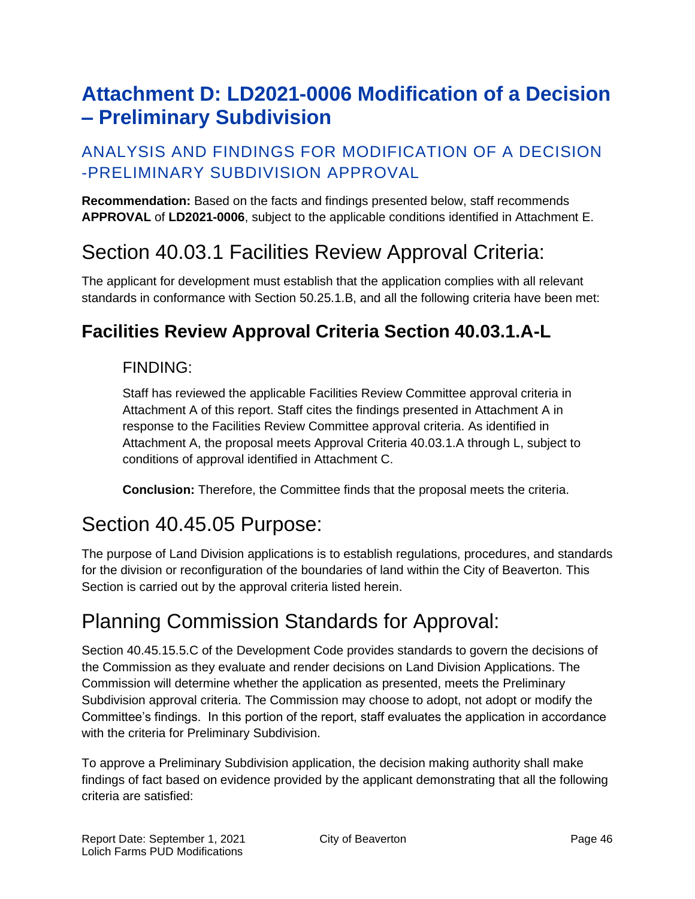# <span id="page-45-0"></span>**Attachment D: LD2021-0006 Modification of a Decision – Preliminary Subdivision**

### ANALYSIS AND FINDINGS FOR MODIFICATION OF A DECISION -PRELIMINARY SUBDIVISION APPROVAL

**Recommendation:** Based on the facts and findings presented below, staff recommends **APPROVAL** of **LD2021-0006**, subject to the applicable conditions identified in Attachment E.

## Section 40.03.1 Facilities Review Approval Criteria:

The applicant for development must establish that the application complies with all relevant standards in conformance with Section 50.25.1.B, and all the following criteria have been met:

## **Facilities Review Approval Criteria Section 40.03.1.A-L**

### FINDING:

Staff has reviewed the applicable Facilities Review Committee approval criteria in Attachment A of this report. Staff cites the findings presented in Attachment A in response to the Facilities Review Committee approval criteria. As identified in Attachment A, the proposal meets Approval Criteria 40.03.1.A through L, subject to conditions of approval identified in Attachment C.

**Conclusion:** Therefore, the Committee finds that the proposal meets the criteria.

# Section 40.45.05 Purpose:

The purpose of Land Division applications is to establish regulations, procedures, and standards for the division or reconfiguration of the boundaries of land within the City of Beaverton. This Section is carried out by the approval criteria listed herein.

## Planning Commission Standards for Approval:

Section 40.45.15.5.C of the Development Code provides standards to govern the decisions of the Commission as they evaluate and render decisions on Land Division Applications. The Commission will determine whether the application as presented, meets the Preliminary Subdivision approval criteria. The Commission may choose to adopt, not adopt or modify the Committee's findings. In this portion of the report, staff evaluates the application in accordance with the criteria for Preliminary Subdivision.

To approve a Preliminary Subdivision application, the decision making authority shall make findings of fact based on evidence provided by the applicant demonstrating that all the following criteria are satisfied: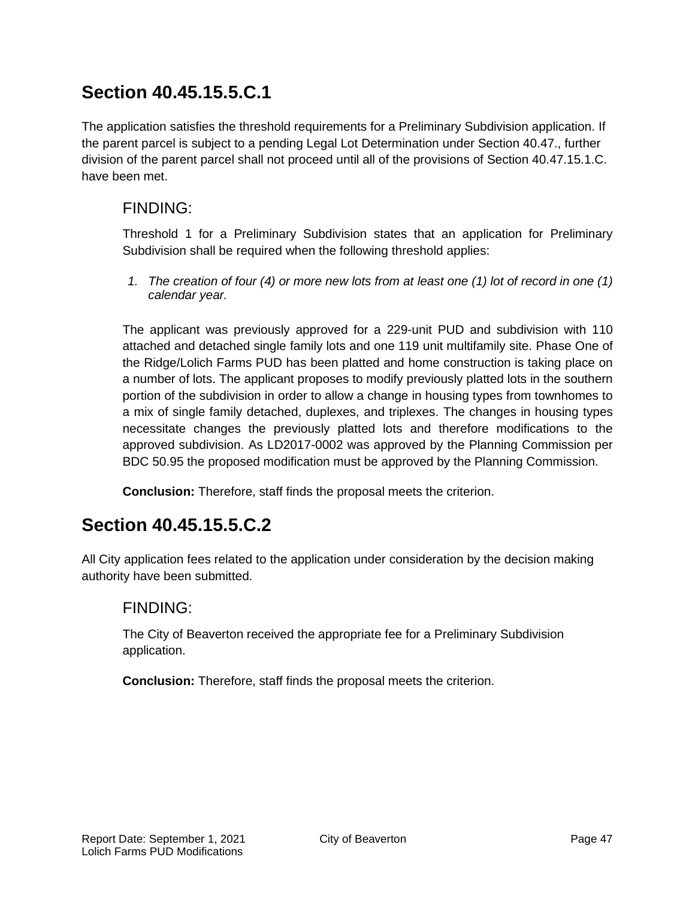The application satisfies the threshold requirements for a Preliminary Subdivision application. If the parent parcel is subject to a pending Legal Lot Determination under Section 40.47., further division of the parent parcel shall not proceed until all of the provisions of Section 40.47.15.1.C. have been met.

### FINDING:

Threshold 1 for a Preliminary Subdivision states that an application for Preliminary Subdivision shall be required when the following threshold applies:

*1. The creation of four (4) or more new lots from at least one (1) lot of record in one (1) calendar year.*

The applicant was previously approved for a 229-unit PUD and subdivision with 110 attached and detached single family lots and one 119 unit multifamily site. Phase One of the Ridge/Lolich Farms PUD has been platted and home construction is taking place on a number of lots. The applicant proposes to modify previously platted lots in the southern portion of the subdivision in order to allow a change in housing types from townhomes to a mix of single family detached, duplexes, and triplexes. The changes in housing types necessitate changes the previously platted lots and therefore modifications to the approved subdivision. As LD2017-0002 was approved by the Planning Commission per BDC 50.95 the proposed modification must be approved by the Planning Commission.

**Conclusion:** Therefore, staff finds the proposal meets the criterion.

## **Section 40.45.15.5.C.2**

All City application fees related to the application under consideration by the decision making authority have been submitted.

### FINDING:

The City of Beaverton received the appropriate fee for a Preliminary Subdivision application.

**Conclusion:** Therefore, staff finds the proposal meets the criterion.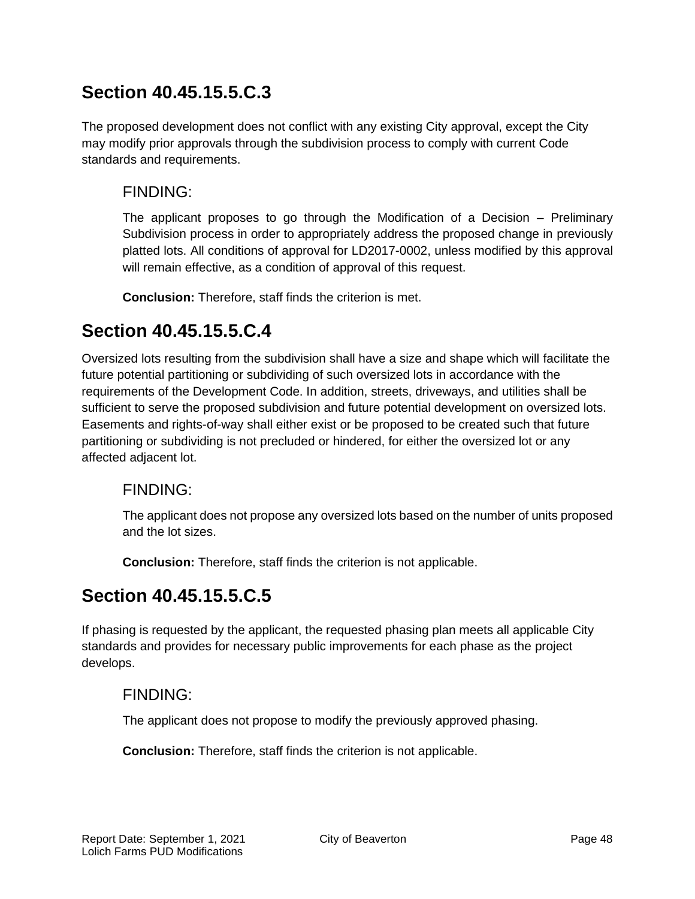The proposed development does not conflict with any existing City approval, except the City may modify prior approvals through the subdivision process to comply with current Code standards and requirements.

### FINDING:

The applicant proposes to go through the Modification of a Decision – Preliminary Subdivision process in order to appropriately address the proposed change in previously platted lots. All conditions of approval for LD2017-0002, unless modified by this approval will remain effective, as a condition of approval of this request.

**Conclusion:** Therefore, staff finds the criterion is met.

### **Section 40.45.15.5.C.4**

Oversized lots resulting from the subdivision shall have a size and shape which will facilitate the future potential partitioning or subdividing of such oversized lots in accordance with the requirements of the Development Code. In addition, streets, driveways, and utilities shall be sufficient to serve the proposed subdivision and future potential development on oversized lots. Easements and rights-of-way shall either exist or be proposed to be created such that future partitioning or subdividing is not precluded or hindered, for either the oversized lot or any affected adjacent lot.

### FINDING:

The applicant does not propose any oversized lots based on the number of units proposed and the lot sizes.

**Conclusion:** Therefore, staff finds the criterion is not applicable.

## **Section 40.45.15.5.C.5**

If phasing is requested by the applicant, the requested phasing plan meets all applicable City standards and provides for necessary public improvements for each phase as the project develops.

### FINDING:

The applicant does not propose to modify the previously approved phasing.

**Conclusion:** Therefore, staff finds the criterion is not applicable.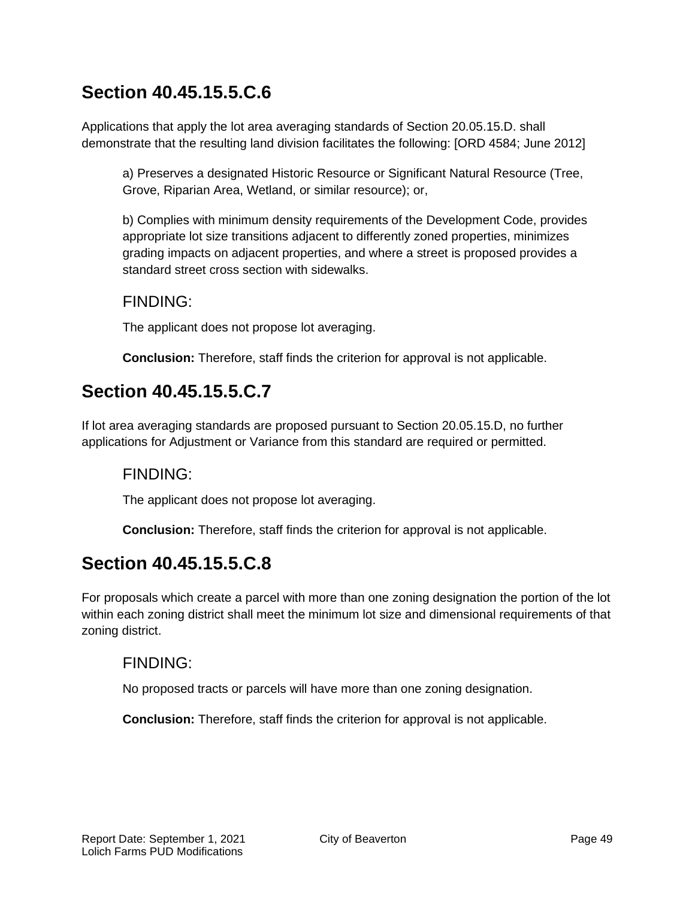Applications that apply the lot area averaging standards of Section 20.05.15.D. shall demonstrate that the resulting land division facilitates the following: [ORD 4584; June 2012]

a) Preserves a designated Historic Resource or Significant Natural Resource (Tree, Grove, Riparian Area, Wetland, or similar resource); or,

b) Complies with minimum density requirements of the Development Code, provides appropriate lot size transitions adjacent to differently zoned properties, minimizes grading impacts on adjacent properties, and where a street is proposed provides a standard street cross section with sidewalks.

#### FINDING:

The applicant does not propose lot averaging.

**Conclusion:** Therefore, staff finds the criterion for approval is not applicable.

## **Section 40.45.15.5.C.7**

If lot area averaging standards are proposed pursuant to Section 20.05.15.D, no further applications for Adjustment or Variance from this standard are required or permitted.

### FINDING:

The applicant does not propose lot averaging.

**Conclusion:** Therefore, staff finds the criterion for approval is not applicable.

## **Section 40.45.15.5.C.8**

For proposals which create a parcel with more than one zoning designation the portion of the lot within each zoning district shall meet the minimum lot size and dimensional requirements of that zoning district.

### FINDING:

No proposed tracts or parcels will have more than one zoning designation.

**Conclusion:** Therefore, staff finds the criterion for approval is not applicable.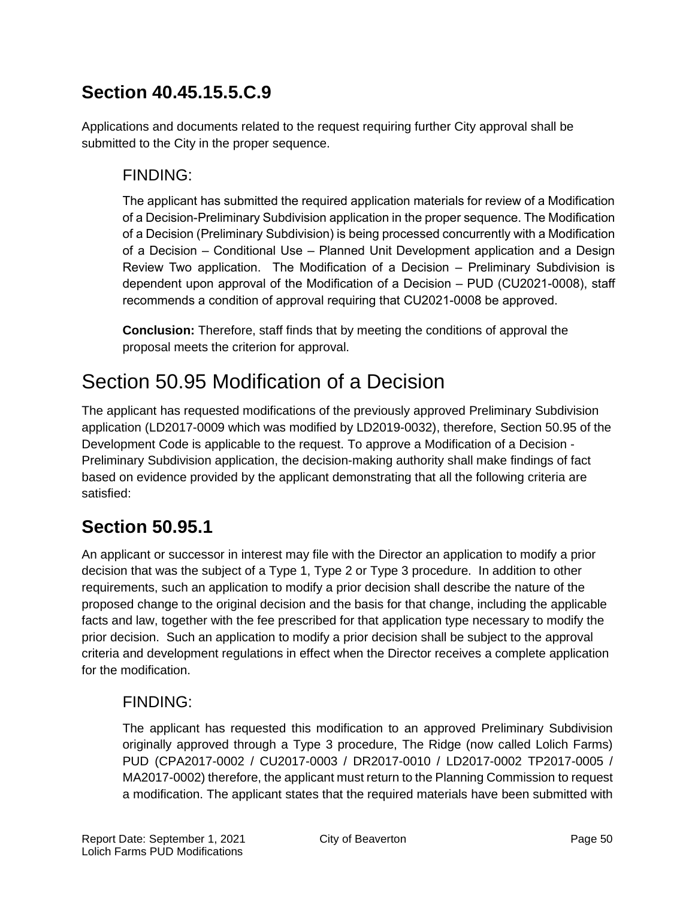Applications and documents related to the request requiring further City approval shall be submitted to the City in the proper sequence.

### FINDING:

The applicant has submitted the required application materials for review of a Modification of a Decision-Preliminary Subdivision application in the proper sequence. The Modification of a Decision (Preliminary Subdivision) is being processed concurrently with a Modification of a Decision – Conditional Use – Planned Unit Development application and a Design Review Two application. The Modification of a Decision – Preliminary Subdivision is dependent upon approval of the Modification of a Decision – PUD (CU2021-0008), staff recommends a condition of approval requiring that CU2021-0008 be approved.

**Conclusion:** Therefore, staff finds that by meeting the conditions of approval the proposal meets the criterion for approval.

# Section 50.95 Modification of a Decision

The applicant has requested modifications of the previously approved Preliminary Subdivision application (LD2017-0009 which was modified by LD2019-0032), therefore, Section 50.95 of the Development Code is applicable to the request. To approve a Modification of a Decision - Preliminary Subdivision application, the decision-making authority shall make findings of fact based on evidence provided by the applicant demonstrating that all the following criteria are satisfied:

## **Section 50.95.1**

An applicant or successor in interest may file with the Director an application to modify a prior decision that was the subject of a Type 1, Type 2 or Type 3 procedure. In addition to other requirements, such an application to modify a prior decision shall describe the nature of the proposed change to the original decision and the basis for that change, including the applicable facts and law, together with the fee prescribed for that application type necessary to modify the prior decision. Such an application to modify a prior decision shall be subject to the approval criteria and development regulations in effect when the Director receives a complete application for the modification.

### FINDING:

The applicant has requested this modification to an approved Preliminary Subdivision originally approved through a Type 3 procedure, The Ridge (now called Lolich Farms) PUD (CPA2017-0002 / CU2017-0003 / DR2017-0010 / LD2017-0002 TP2017-0005 / MA2017-0002) therefore, the applicant must return to the Planning Commission to request a modification. The applicant states that the required materials have been submitted with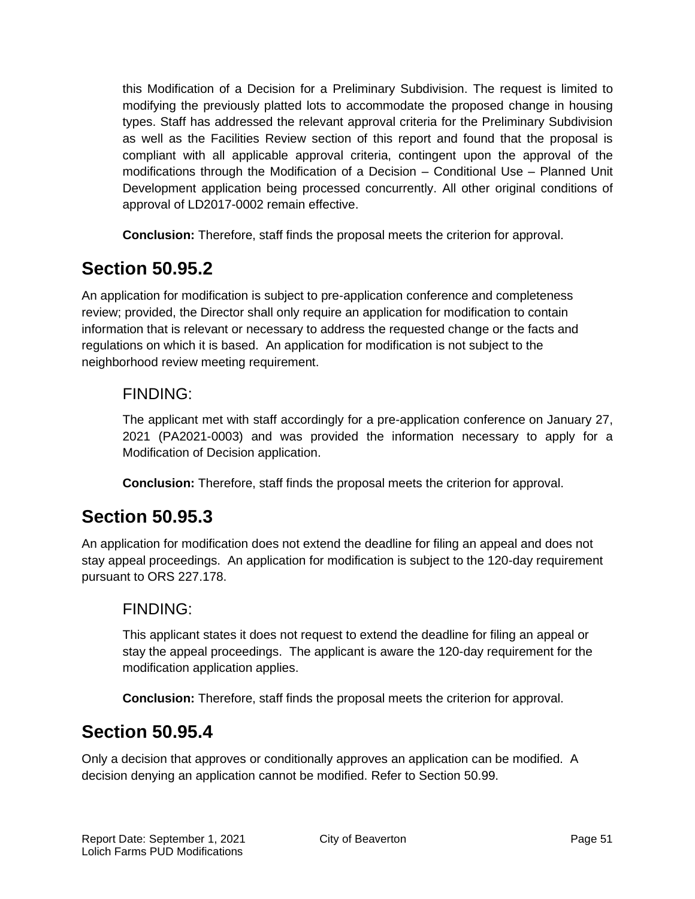this Modification of a Decision for a Preliminary Subdivision. The request is limited to modifying the previously platted lots to accommodate the proposed change in housing types. Staff has addressed the relevant approval criteria for the Preliminary Subdivision as well as the Facilities Review section of this report and found that the proposal is compliant with all applicable approval criteria, contingent upon the approval of the modifications through the Modification of a Decision – Conditional Use – Planned Unit Development application being processed concurrently. All other original conditions of approval of LD2017-0002 remain effective.

**Conclusion:** Therefore, staff finds the proposal meets the criterion for approval.

## **Section 50.95.2**

An application for modification is subject to pre-application conference and completeness review; provided, the Director shall only require an application for modification to contain information that is relevant or necessary to address the requested change or the facts and regulations on which it is based. An application for modification is not subject to the neighborhood review meeting requirement.

### FINDING:

The applicant met with staff accordingly for a pre-application conference on January 27, 2021 (PA2021-0003) and was provided the information necessary to apply for a Modification of Decision application.

**Conclusion:** Therefore, staff finds the proposal meets the criterion for approval.

## **Section 50.95.3**

An application for modification does not extend the deadline for filing an appeal and does not stay appeal proceedings. An application for modification is subject to the 120-day requirement pursuant to ORS 227.178.

### FINDING:

This applicant states it does not request to extend the deadline for filing an appeal or stay the appeal proceedings. The applicant is aware the 120-day requirement for the modification application applies.

**Conclusion:** Therefore, staff finds the proposal meets the criterion for approval.

## **Section 50.95.4**

Only a decision that approves or conditionally approves an application can be modified. A decision denying an application cannot be modified. Refer to Section 50.99.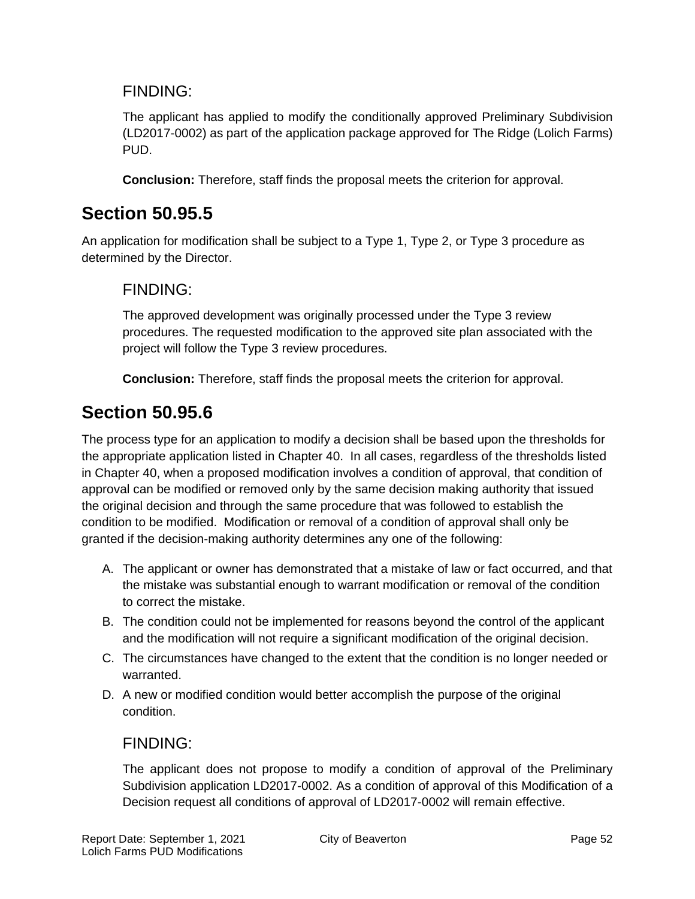### FINDING:

The applicant has applied to modify the conditionally approved Preliminary Subdivision (LD2017-0002) as part of the application package approved for The Ridge (Lolich Farms) PUD.

**Conclusion:** Therefore, staff finds the proposal meets the criterion for approval.

### **Section 50.95.5**

An application for modification shall be subject to a Type 1, Type 2, or Type 3 procedure as determined by the Director.

### FINDING:

The approved development was originally processed under the Type 3 review procedures. The requested modification to the approved site plan associated with the project will follow the Type 3 review procedures.

**Conclusion:** Therefore, staff finds the proposal meets the criterion for approval.

## **Section 50.95.6**

The process type for an application to modify a decision shall be based upon the thresholds for the appropriate application listed in Chapter 40. In all cases, regardless of the thresholds listed in Chapter 40, when a proposed modification involves a condition of approval, that condition of approval can be modified or removed only by the same decision making authority that issued the original decision and through the same procedure that was followed to establish the condition to be modified. Modification or removal of a condition of approval shall only be granted if the decision-making authority determines any one of the following:

- A. The applicant or owner has demonstrated that a mistake of law or fact occurred, and that the mistake was substantial enough to warrant modification or removal of the condition to correct the mistake.
- B. The condition could not be implemented for reasons beyond the control of the applicant and the modification will not require a significant modification of the original decision.
- C. The circumstances have changed to the extent that the condition is no longer needed or warranted.
- D. A new or modified condition would better accomplish the purpose of the original condition.

### FINDING:

The applicant does not propose to modify a condition of approval of the Preliminary Subdivision application LD2017-0002. As a condition of approval of this Modification of a Decision request all conditions of approval of LD2017-0002 will remain effective.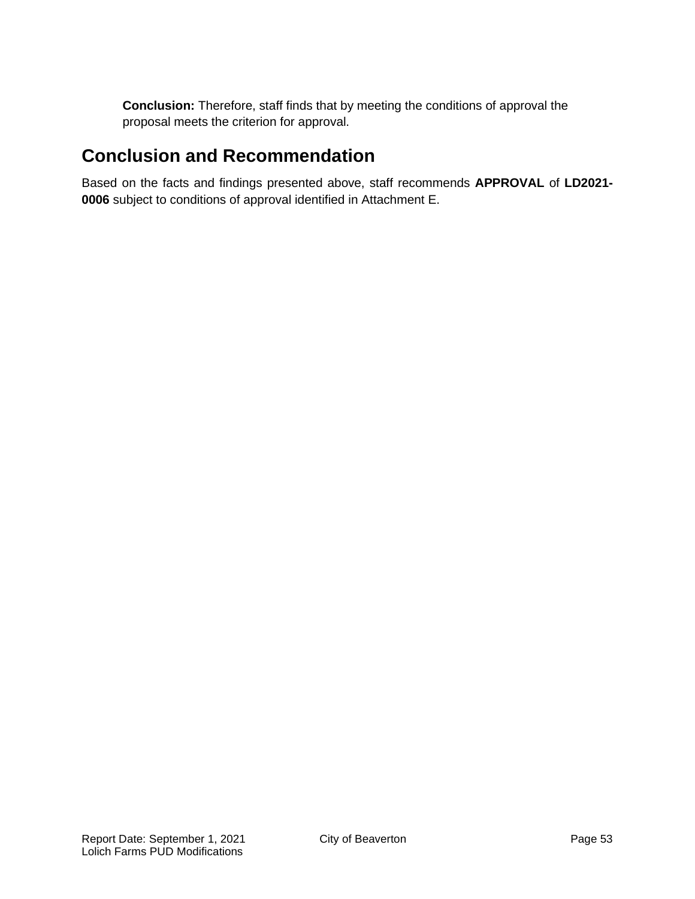**Conclusion:** Therefore, staff finds that by meeting the conditions of approval the proposal meets the criterion for approval.

## **Conclusion and Recommendation**

Based on the facts and findings presented above, staff recommends **APPROVAL** of **LD2021- 0006** subject to conditions of approval identified in Attachment E.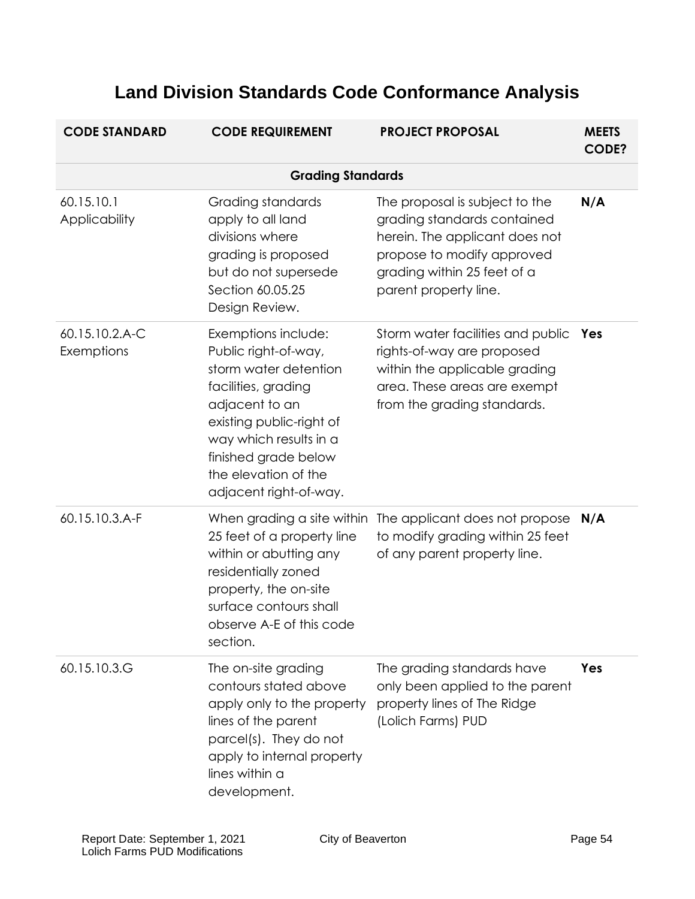| <b>CODE STANDARD</b>         | <b>CODE REQUIREMENT</b>                                                                                                                                                                                                                       | <b>PROJECT PROPOSAL</b>                                                                                                                                                               | <b>MEETS</b><br><b>CODE?</b> |  |  |  |
|------------------------------|-----------------------------------------------------------------------------------------------------------------------------------------------------------------------------------------------------------------------------------------------|---------------------------------------------------------------------------------------------------------------------------------------------------------------------------------------|------------------------------|--|--|--|
|                              | <b>Grading Standards</b>                                                                                                                                                                                                                      |                                                                                                                                                                                       |                              |  |  |  |
| 60.15.10.1<br>Applicability  | Grading standards<br>apply to all land<br>divisions where<br>grading is proposed<br>but do not supersede<br>Section 60.05.25<br>Design Review.                                                                                                | The proposal is subject to the<br>grading standards contained<br>herein. The applicant does not<br>propose to modify approved<br>grading within 25 feet of a<br>parent property line. | N/A                          |  |  |  |
| 60.15.10.2.A-C<br>Exemptions | Exemptions include:<br>Public right-of-way,<br>storm water detention<br>facilities, grading<br>adjacent to an<br>existing public-right of<br>way which results in a<br>finished grade below<br>the elevation of the<br>adjacent right-of-way. | Storm water facilities and public<br>rights-of-way are proposed<br>within the applicable grading<br>area. These areas are exempt<br>from the grading standards.                       | Yes                          |  |  |  |
| 60.15.10.3.A-F               | 25 feet of a property line<br>within or abutting any<br>residentially zoned<br>property, the on-site<br>surface contours shall<br>observe A-E of this code<br>section.                                                                        | When grading a site within The applicant does not propose<br>to modify grading within 25 feet<br>of any parent property line.                                                         | N/A                          |  |  |  |
| 60.15.10.3.G                 | The on-site grading<br>contours stated above<br>apply only to the property<br>lines of the parent<br>parcel(s). They do not<br>apply to internal property<br>lines within a<br>development.                                                   | The grading standards have<br>only been applied to the parent<br>property lines of The Ridge<br>(Lolich Farms) PUD                                                                    | Yes                          |  |  |  |

# **Land Division Standards Code Conformance Analysis**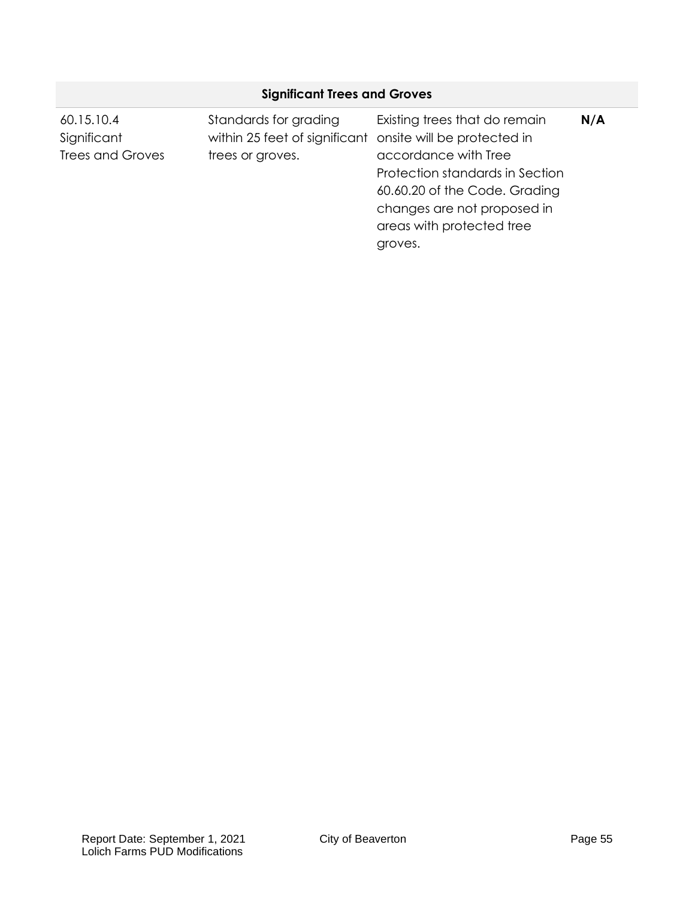| <b>Significant Trees and Groves</b> |                                                                                    |                                                                                                                                                                 |     |  |
|-------------------------------------|------------------------------------------------------------------------------------|-----------------------------------------------------------------------------------------------------------------------------------------------------------------|-----|--|
| 60.15.10.4<br>Significant           | Standards for grading<br>within 25 feet of significant onsite will be protected in | Existing trees that do remain                                                                                                                                   | N/A |  |
| <b>Trees and Groves</b>             | trees or groves.                                                                   | accordance with Tree<br>Protection standards in Section<br>60.60.20 of the Code. Grading<br>changes are not proposed in<br>areas with protected tree<br>groves. |     |  |